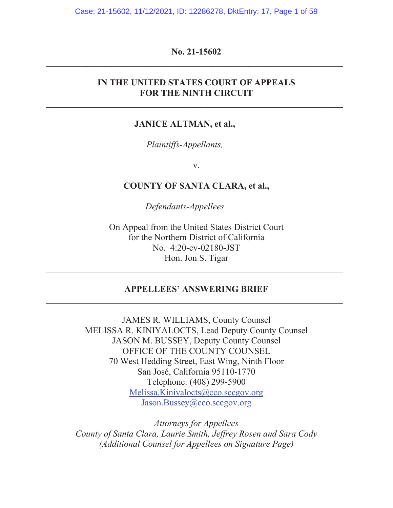Case: 21-15602, 11/12/2021, ID: 12286278, DktEntry: 17, Page 1 of 59

# **No. 21-15602 \_\_\_\_\_\_\_\_\_\_\_\_\_\_\_\_\_\_\_\_\_\_\_\_\_\_\_\_\_\_\_\_\_\_\_\_\_\_\_\_\_\_\_\_\_\_\_\_\_\_\_\_\_\_\_\_\_\_\_\_\_\_\_\_\_\_**

# **IN THE UNITED STATES COURT OF APPEALS FOR THE NINTH CIRCUIT**

### **JANICE ALTMAN, et al.,**

*Plaintiffs-Appellants,* 

v.

### **COUNTY OF SANTA CLARA, et al.,**

*Defendants-Appellees* 

On Appeal from the United States District Court for the Northern District of California No. 4:20-cv-02180-JST Hon. Jon S. Tigar

## **APPELLEES' ANSWERING BRIEF**

**\_\_\_\_\_\_\_\_\_\_\_\_\_\_\_\_\_\_\_\_\_\_\_\_\_\_\_\_\_\_\_\_\_\_\_\_\_\_\_\_\_\_\_\_\_\_\_\_\_\_\_\_\_\_\_\_\_\_\_\_\_\_\_\_\_\_**

JAMES R. WILLIAMS, County Counsel MELISSA R. KINIYALOCTS, Lead Deputy County Counsel JASON M. BUSSEY, Deputy County Counsel OFFICE OF THE COUNTY COUNSEL 70 West Hedding Street, East Wing, Ninth Floor San José, California 95110-1770 Telephone: (408) 299-5900 Melissa.Kiniyalocts@cco.sccgov.org Jason.Bussey@cco.sccgov.org

*Attorneys for Appellees County of Santa Clara, Laurie Smith, Jeffrey Rosen and Sara Cody (Additional Counsel for Appellees on Signature Page)*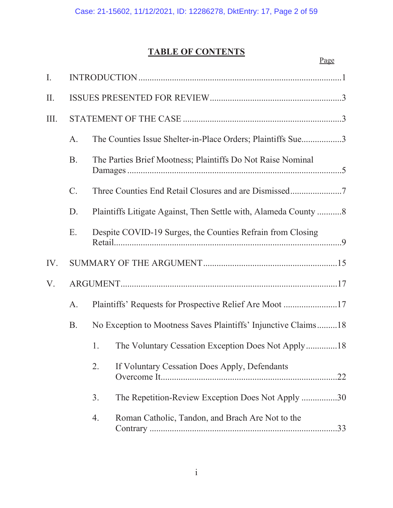# **TABLE OF CONTENTS**

|                       |           |    |                                                                 | Page |
|-----------------------|-----------|----|-----------------------------------------------------------------|------|
| I.                    |           |    |                                                                 |      |
| Π.                    |           |    |                                                                 |      |
| III.                  |           |    |                                                                 |      |
|                       | A.        |    | The Counties Issue Shelter-in-Place Orders; Plaintiffs Sue3     |      |
|                       | <b>B.</b> |    | The Parties Brief Mootness; Plaintiffs Do Not Raise Nominal     |      |
| $\mathcal{C}$ .<br>D. |           |    |                                                                 |      |
|                       |           |    | Plaintiffs Litigate Against, Then Settle with, Alameda County 8 |      |
|                       | Ε.        |    | Despite COVID-19 Surges, the Counties Refrain from Closing      |      |
| IV.                   |           |    |                                                                 |      |
| V.                    |           |    |                                                                 |      |
|                       | A.        |    | Plaintiffs' Requests for Prospective Relief Are Moot 17         |      |
|                       | <b>B.</b> |    | No Exception to Mootness Saves Plaintiffs' Injunctive Claims18  |      |
|                       |           |    | 1. The Voluntary Cessation Exception Does Not Apply18           |      |
|                       |           | 2. | If Voluntary Cessation Does Apply, Defendants                   |      |
|                       |           | 3. | The Repetition-Review Exception Does Not Apply 30               |      |
|                       |           | 4. | Roman Catholic, Tandon, and Brach Are Not to the                |      |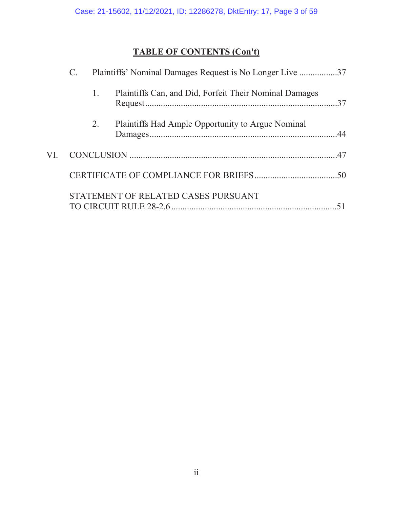# **TABLE OF CONTENTS (Con't)**

|     | Plaintiffs' Nominal Damages Request is No Longer Live 37 |    |                                                        |  |
|-----|----------------------------------------------------------|----|--------------------------------------------------------|--|
|     |                                                          | 1. | Plaintiffs Can, and Did, Forfeit Their Nominal Damages |  |
|     |                                                          | 2. | Plaintiffs Had Ample Opportunity to Argue Nominal      |  |
| VI. |                                                          |    |                                                        |  |
|     |                                                          |    |                                                        |  |
|     |                                                          |    | STATEMENT OF RELATED CASES PURSUANT                    |  |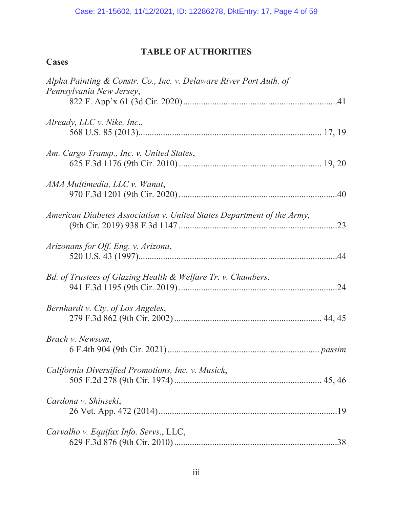# **TABLE OF AUTHORITIES**

# **Cases**

| Alpha Painting & Constr. Co., Inc. v. Delaware River Port Auth. of<br>Pennsylvania New Jersey, |
|------------------------------------------------------------------------------------------------|
| Already, LLC $\nu$ . Nike, Inc.,                                                               |
| Am. Cargo Transp., Inc. v. United States,                                                      |
| AMA Multimedia, LLC v. Wanat,                                                                  |
| American Diabetes Association v. United States Department of the Army,                         |
| Arizonans for Off. Eng. v. Arizona,                                                            |
| Bd. of Trustees of Glazing Health & Welfare Tr. v. Chambers,<br>.24                            |
| Bernhardt v. Cty. of Los Angeles,                                                              |
| Brach v. Newsom,                                                                               |
| California Diversified Promotions, Inc. v. Musick,                                             |
| Cardona v. Shinseki,                                                                           |
| Carvalho v. Equifax Info. Servs., LLC,                                                         |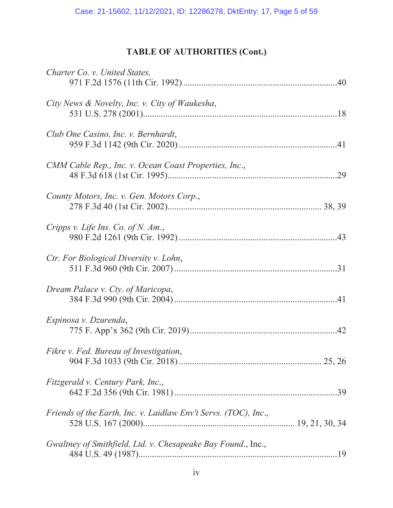# **TABLE OF AUTHORITIES (Cont.)**

| Charter Co. v. United States,                                   |
|-----------------------------------------------------------------|
| City News & Novelty, Inc. v. City of Waukesha,                  |
| Club One Casino, Inc. v. Bernhardt,                             |
| CMM Cable Rep., Inc. v. Ocean Coast Properties, Inc.,<br>.29    |
| County Motors, Inc. v. Gen. Motors Corp.,                       |
| Cripps v. Life Ins. Co. of N. Am.,                              |
| Ctr. For Biological Diversity v. Lohn,                          |
| Dream Palace v. Cty. of Maricopa,                               |
| Espinosa v. Dzurenda,                                           |
| Fikre v. Fed. Bureau of Investigation,                          |
| Fitzgerald v. Century Park, Inc.,                               |
| Friends of the Earth, Inc. v. Laidlaw Env't Servs. (TOC), Inc., |
| Gwaltney of Smithfield, Ltd. v. Chesapeake Bay Found., Inc.,    |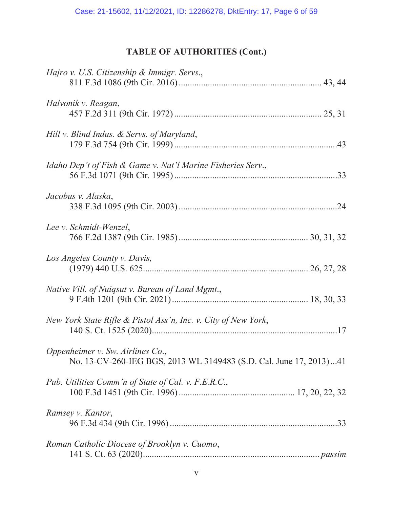# **TABLE OF AUTHORITIES (Cont.)**

| Hajro v. U.S. Citizenship & Immigr. Servs.,                                                            |
|--------------------------------------------------------------------------------------------------------|
| Halvonik v. Reagan,                                                                                    |
| Hill v. Blind Indus. & Servs. of Maryland,                                                             |
| Idaho Dep't of Fish & Game v. Nat'l Marine Fisheries Serv.,                                            |
| Jacobus v. Alaska,                                                                                     |
| Lee v. Schmidt-Wenzel,                                                                                 |
| Los Angeles County v. Davis,                                                                           |
| Native Vill. of Nuiqsut v. Bureau of Land Mgmt.,                                                       |
| New York State Rifle & Pistol Ass'n, Inc. v. City of New York,                                         |
| Oppenheimer v. Sw. Airlines Co.,<br>No. 13-CV-260-IEG BGS, 2013 WL 3149483 (S.D. Cal. June 17, 2013)41 |
| Pub. Utilities Comm'n of State of Cal. v. F.E.R.C.,                                                    |
| Ramsey v. Kantor,                                                                                      |
| Roman Catholic Diocese of Brooklyn v. Cuomo,                                                           |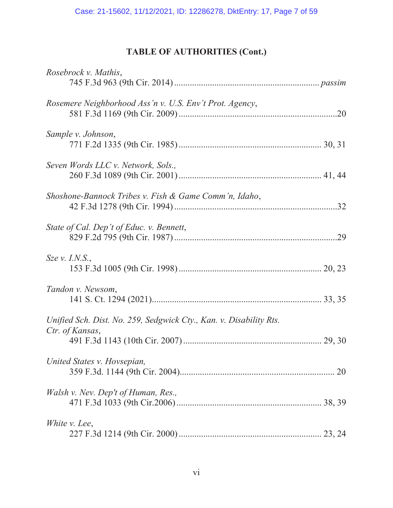# **TABLE OF AUTHORITIES (Cont.)**

| Rosebrock v. Mathis,                                                                  |  |
|---------------------------------------------------------------------------------------|--|
| Rosemere Neighborhood Ass'n v. U.S. Env't Prot. Agency,                               |  |
| Sample v. Johnson,                                                                    |  |
| Seven Words LLC v. Network, Sols.,                                                    |  |
| Shoshone-Bannock Tribes v. Fish & Game Comm'n, Idaho,                                 |  |
| State of Cal. Dep't of Educ. v. Bennett,                                              |  |
| $S$ <i>ze</i> $v$ . <i>I.N.S.</i> ,                                                   |  |
| Tandon v. Newsom,                                                                     |  |
| Unified Sch. Dist. No. 259, Sedgwick Cty., Kan. v. Disability Rts.<br>Ctr. of Kansas, |  |
| United States v. Hovsepian,                                                           |  |
| Walsh v. Nev. Dep't of Human, Res.,                                                   |  |
| White <i>v</i> . Lee,                                                                 |  |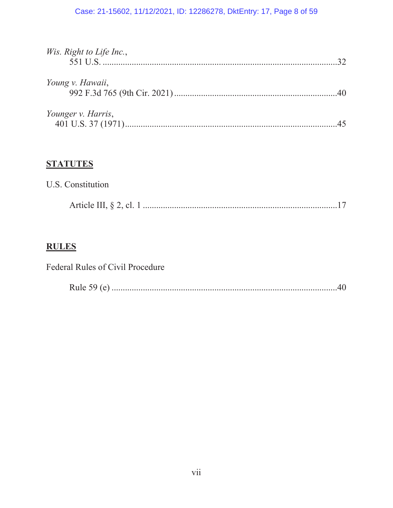# Case: 21-15602, 11/12/2021, ID: 12286278, DktEntry: 17, Page 8 of 59

| Wis. Right to Life Inc., |  |
|--------------------------|--|
| Young v. Hawaii,         |  |
| Younger v. Harris,       |  |

# **STATUTES**

| U.S. Constitution |  |  |
|-------------------|--|--|
|                   |  |  |

# **RULES**

| Federal Rules of Civil Procedure |  |
|----------------------------------|--|
|                                  |  |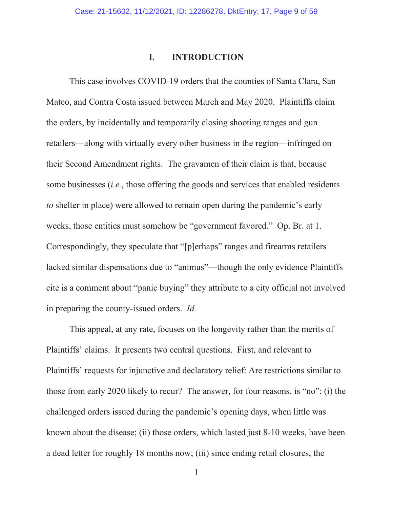### **I. INTRODUCTION**

This case involves COVID-19 orders that the counties of Santa Clara, San Mateo, and Contra Costa issued between March and May 2020. Plaintiffs claim the orders, by incidentally and temporarily closing shooting ranges and gun retailers—along with virtually every other business in the region—infringed on their Second Amendment rights. The gravamen of their claim is that, because some businesses (*i.e.*, those offering the goods and services that enabled residents *to* shelter in place) were allowed to remain open during the pandemic's early weeks, those entities must somehow be "government favored." Op. Br. at 1. Correspondingly, they speculate that "[p]erhaps" ranges and firearms retailers lacked similar dispensations due to "animus"—though the only evidence Plaintiffs cite is a comment about "panic buying" they attribute to a city official not involved in preparing the county-issued orders. *Id.*

This appeal, at any rate, focuses on the longevity rather than the merits of Plaintiffs' claims. It presents two central questions. First, and relevant to Plaintiffs' requests for injunctive and declaratory relief: Are restrictions similar to those from early 2020 likely to recur? The answer, for four reasons, is "no": (i) the challenged orders issued during the pandemic's opening days, when little was known about the disease; (ii) those orders, which lasted just 8-10 weeks, have been a dead letter for roughly 18 months now; (iii) since ending retail closures, the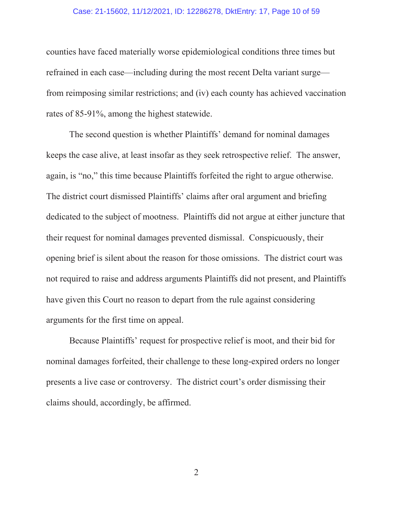### Case: 21-15602, 11/12/2021, ID: 12286278, DktEntry: 17, Page 10 of 59

counties have faced materially worse epidemiological conditions three times but refrained in each case—including during the most recent Delta variant surge from reimposing similar restrictions; and (iv) each county has achieved vaccination rates of 85-91%, among the highest statewide.

The second question is whether Plaintiffs' demand for nominal damages keeps the case alive, at least insofar as they seek retrospective relief. The answer, again, is "no," this time because Plaintiffs forfeited the right to argue otherwise. The district court dismissed Plaintiffs' claims after oral argument and briefing dedicated to the subject of mootness. Plaintiffs did not argue at either juncture that their request for nominal damages prevented dismissal. Conspicuously, their opening brief is silent about the reason for those omissions. The district court was not required to raise and address arguments Plaintiffs did not present, and Plaintiffs have given this Court no reason to depart from the rule against considering arguments for the first time on appeal.

Because Plaintiffs' request for prospective relief is moot, and their bid for nominal damages forfeited, their challenge to these long-expired orders no longer presents a live case or controversy. The district court's order dismissing their claims should, accordingly, be affirmed.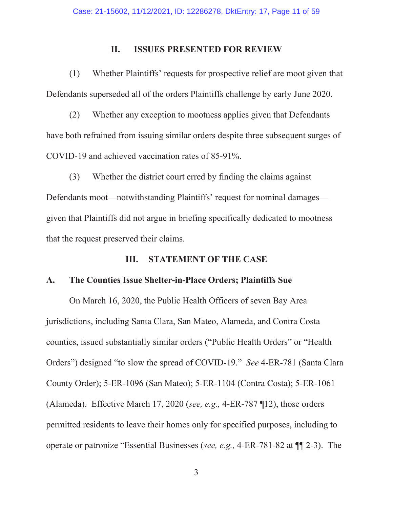### **II. ISSUES PRESENTED FOR REVIEW**

(1) Whether Plaintiffs' requests for prospective relief are moot given that Defendants superseded all of the orders Plaintiffs challenge by early June 2020.

(2) Whether any exception to mootness applies given that Defendants have both refrained from issuing similar orders despite three subsequent surges of COVID-19 and achieved vaccination rates of 85-91%.

(3) Whether the district court erred by finding the claims against Defendants moot—notwithstanding Plaintiffs' request for nominal damages given that Plaintiffs did not argue in briefing specifically dedicated to mootness that the request preserved their claims.

## **III. STATEMENT OF THE CASE**

### **A. The Counties Issue Shelter-in-Place Orders; Plaintiffs Sue**

On March 16, 2020, the Public Health Officers of seven Bay Area jurisdictions, including Santa Clara, San Mateo, Alameda, and Contra Costa counties, issued substantially similar orders ("Public Health Orders" or "Health Orders") designed "to slow the spread of COVID-19." *See* 4-ER-781 (Santa Clara County Order); 5-ER-1096 (San Mateo); 5-ER-1104 (Contra Costa); 5-ER-1061 (Alameda). Effective March 17, 2020 (*see, e.g.,* 4-ER-787 ¶12), those orders permitted residents to leave their homes only for specified purposes, including to operate or patronize "Essential Businesses (*see, e.g.,* 4-ER-781-82 at ¶¶ 2-3). The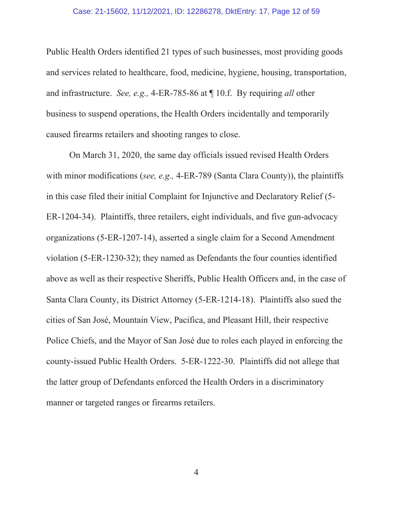#### Case: 21-15602, 11/12/2021, ID: 12286278, DktEntry: 17, Page 12 of 59

Public Health Orders identified 21 types of such businesses, most providing goods and services related to healthcare, food, medicine, hygiene, housing, transportation, and infrastructure. *See, e.g.,* 4-ER-785-86 at ¶ 10.f. By requiring *all* other business to suspend operations, the Health Orders incidentally and temporarily caused firearms retailers and shooting ranges to close.

On March 31, 2020, the same day officials issued revised Health Orders with minor modifications (*see, e.g.,* 4-ER-789 (Santa Clara County)), the plaintiffs in this case filed their initial Complaint for Injunctive and Declaratory Relief (5- ER-1204-34). Plaintiffs, three retailers, eight individuals, and five gun-advocacy organizations (5-ER-1207-14), asserted a single claim for a Second Amendment violation (5-ER-1230-32); they named as Defendants the four counties identified above as well as their respective Sheriffs, Public Health Officers and, in the case of Santa Clara County, its District Attorney (5-ER-1214-18). Plaintiffs also sued the cities of San José, Mountain View, Pacifica, and Pleasant Hill, their respective Police Chiefs, and the Mayor of San José due to roles each played in enforcing the county-issued Public Health Orders. 5-ER-1222-30. Plaintiffs did not allege that the latter group of Defendants enforced the Health Orders in a discriminatory manner or targeted ranges or firearms retailers.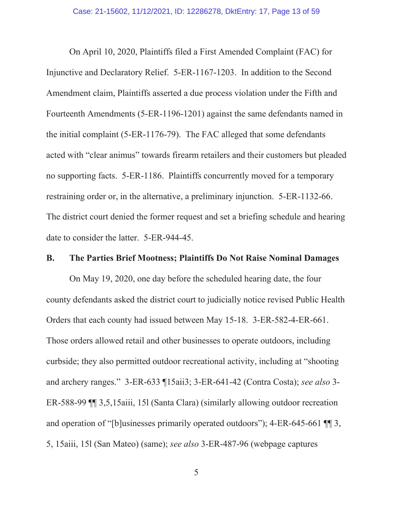On April 10, 2020, Plaintiffs filed a First Amended Complaint (FAC) for Injunctive and Declaratory Relief. 5-ER-1167-1203. In addition to the Second Amendment claim, Plaintiffs asserted a due process violation under the Fifth and Fourteenth Amendments (5-ER-1196-1201) against the same defendants named in the initial complaint (5-ER-1176-79). The FAC alleged that some defendants acted with "clear animus" towards firearm retailers and their customers but pleaded no supporting facts. 5-ER-1186. Plaintiffs concurrently moved for a temporary restraining order or, in the alternative, a preliminary injunction. 5-ER-1132-66. The district court denied the former request and set a briefing schedule and hearing date to consider the latter. 5-ER-944-45.

### **B. The Parties Brief Mootness; Plaintiffs Do Not Raise Nominal Damages**

On May 19, 2020, one day before the scheduled hearing date, the four county defendants asked the district court to judicially notice revised Public Health Orders that each county had issued between May 15-18. 3-ER-582-4-ER-661. Those orders allowed retail and other businesses to operate outdoors, including curbside; they also permitted outdoor recreational activity, including at "shooting and archery ranges." 3-ER-633 ¶15aii3; 3-ER-641-42 (Contra Costa); *see also* 3- ER-588-99 ¶¶ 3,5,15aiii, 15l (Santa Clara) (similarly allowing outdoor recreation and operation of "[b]usinesses primarily operated outdoors"); 4-ER-645-661 ¶¶ 3, 5, 15aiii, 15l (San Mateo) (same); *see also* 3-ER-487-96 (webpage captures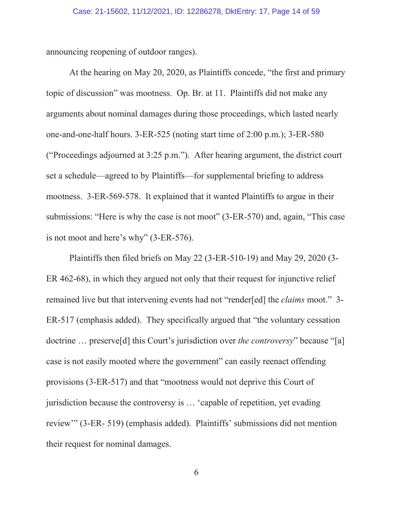announcing reopening of outdoor ranges).

At the hearing on May 20, 2020, as Plaintiffs concede, "the first and primary topic of discussion" was mootness. Op. Br. at 11. Plaintiffs did not make any arguments about nominal damages during those proceedings, which lasted nearly one-and-one-half hours. 3-ER-525 (noting start time of 2:00 p.m.); 3-ER-580 ("Proceedings adjourned at 3:25 p.m."). After hearing argument, the district court set a schedule—agreed to by Plaintiffs—for supplemental briefing to address mootness. 3-ER-569-578. It explained that it wanted Plaintiffs to argue in their submissions: "Here is why the case is not moot" (3-ER-570) and, again, "This case is not moot and here's why" (3-ER-576).

Plaintiffs then filed briefs on May 22 (3-ER-510-19) and May 29, 2020 (3- ER 462-68), in which they argued not only that their request for injunctive relief remained live but that intervening events had not "render[ed] the *claims* moot." 3- ER-517 (emphasis added). They specifically argued that "the voluntary cessation doctrine … preserve[d] this Court's jurisdiction over *the controversy*" because "[a] case is not easily mooted where the government" can easily reenact offending provisions (3-ER-517) and that "mootness would not deprive this Court of jurisdiction because the controversy is … 'capable of repetition, yet evading review'" (3-ER- 519) (emphasis added). Plaintiffs' submissions did not mention their request for nominal damages.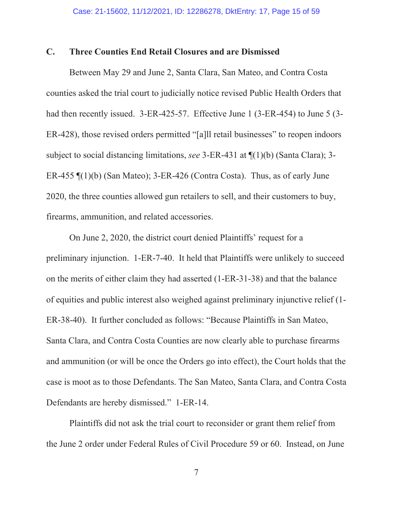### **C. Three Counties End Retail Closures and are Dismissed**

Between May 29 and June 2, Santa Clara, San Mateo, and Contra Costa counties asked the trial court to judicially notice revised Public Health Orders that had then recently issued. 3-ER-425-57. Effective June 1 (3-ER-454) to June 5 (3-ER-428), those revised orders permitted "[a]ll retail businesses" to reopen indoors subject to social distancing limitations, *see* 3-ER-431 at ¶(1)(b) (Santa Clara); 3- ER-455 ¶(1)(b) (San Mateo); 3-ER-426 (Contra Costa). Thus, as of early June 2020, the three counties allowed gun retailers to sell, and their customers to buy, firearms, ammunition, and related accessories.

On June 2, 2020, the district court denied Plaintiffs' request for a preliminary injunction. 1-ER-7-40. It held that Plaintiffs were unlikely to succeed on the merits of either claim they had asserted (1-ER-31-38) and that the balance of equities and public interest also weighed against preliminary injunctive relief (1- ER-38-40). It further concluded as follows: "Because Plaintiffs in San Mateo, Santa Clara, and Contra Costa Counties are now clearly able to purchase firearms and ammunition (or will be once the Orders go into effect), the Court holds that the case is moot as to those Defendants. The San Mateo, Santa Clara, and Contra Costa Defendants are hereby dismissed." 1-ER-14.

Plaintiffs did not ask the trial court to reconsider or grant them relief from the June 2 order under Federal Rules of Civil Procedure 59 or 60. Instead, on June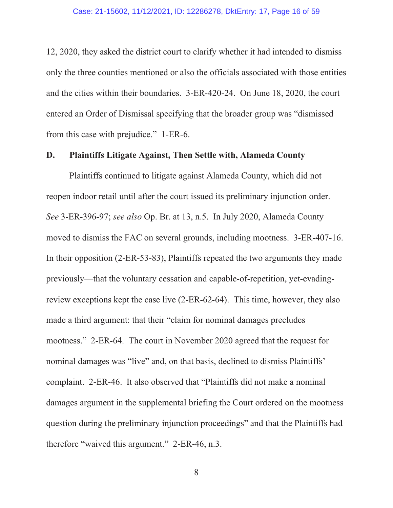12, 2020, they asked the district court to clarify whether it had intended to dismiss only the three counties mentioned or also the officials associated with those entities and the cities within their boundaries. 3-ER-420-24. On June 18, 2020, the court entered an Order of Dismissal specifying that the broader group was "dismissed from this case with prejudice." 1-ER-6.

### **D. Plaintiffs Litigate Against, Then Settle with, Alameda County**

Plaintiffs continued to litigate against Alameda County, which did not reopen indoor retail until after the court issued its preliminary injunction order. *See* 3-ER-396-97; *see also* Op. Br. at 13, n.5. In July 2020, Alameda County moved to dismiss the FAC on several grounds, including mootness. 3-ER-407-16. In their opposition (2-ER-53-83), Plaintiffs repeated the two arguments they made previously—that the voluntary cessation and capable-of-repetition, yet-evadingreview exceptions kept the case live (2-ER-62-64). This time, however, they also made a third argument: that their "claim for nominal damages precludes mootness." 2-ER-64. The court in November 2020 agreed that the request for nominal damages was "live" and, on that basis, declined to dismiss Plaintiffs' complaint. 2-ER-46. It also observed that "Plaintiffs did not make a nominal damages argument in the supplemental briefing the Court ordered on the mootness question during the preliminary injunction proceedings" and that the Plaintiffs had therefore "waived this argument." 2-ER-46, n.3.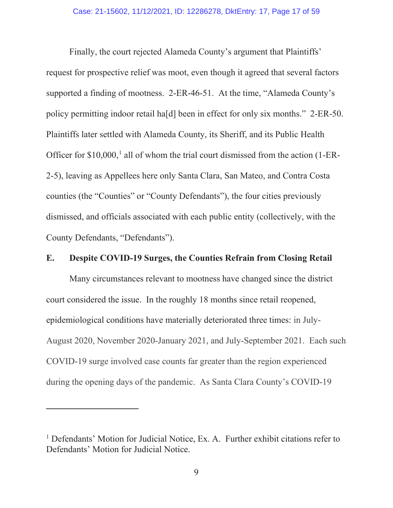Finally, the court rejected Alameda County's argument that Plaintiffs' request for prospective relief was moot, even though it agreed that several factors supported a finding of mootness. 2-ER-46-51. At the time, "Alameda County's policy permitting indoor retail ha[d] been in effect for only six months." 2-ER-50. Plaintiffs later settled with Alameda County, its Sheriff, and its Public Health Officer for  $$10,000$ ,<sup>1</sup> all of whom the trial court dismissed from the action (1-ER-2-5), leaving as Appellees here only Santa Clara, San Mateo, and Contra Costa counties (the "Counties" or "County Defendants"), the four cities previously dismissed, and officials associated with each public entity (collectively, with the County Defendants, "Defendants").

## **E. Despite COVID-19 Surges, the Counties Refrain from Closing Retail**

Many circumstances relevant to mootness have changed since the district court considered the issue. In the roughly 18 months since retail reopened, epidemiological conditions have materially deteriorated three times: in July-August 2020, November 2020-January 2021, and July-September 2021. Each such COVID-19 surge involved case counts far greater than the region experienced during the opening days of the pandemic. As Santa Clara County's COVID-19

<sup>&</sup>lt;sup>1</sup> Defendants' Motion for Judicial Notice, Ex. A. Further exhibit citations refer to Defendants' Motion for Judicial Notice.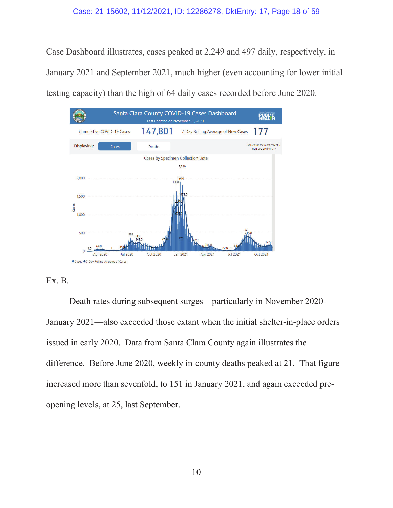Case Dashboard illustrates, cases peaked at 2,249 and 497 daily, respectively, in January 2021 and September 2021, much higher (even accounting for lower initial testing capacity) than the high of 64 daily cases recorded before June 2020.





Death rates during subsequent surges—particularly in November 2020- January 2021—also exceeded those extant when the initial shelter-in-place orders issued in early 2020. Data from Santa Clara County again illustrates the difference. Before June 2020, weekly in-county deaths peaked at 21. That figure increased more than sevenfold, to 151 in January 2021, and again exceeded preopening levels, at 25, last September.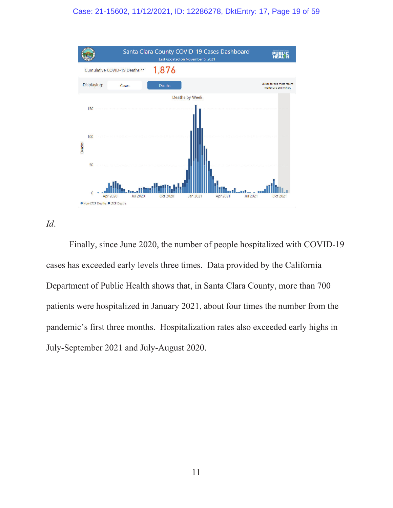### Case: 21-15602, 11/12/2021, ID: 12286278, DktEntry: 17, Page 19 of 59



*Id*.

Finally, since June 2020, the number of people hospitalized with COVID-19 cases has exceeded early levels three times. Data provided by the California Department of Public Health shows that, in Santa Clara County, more than 700 patients were hospitalized in January 2021, about four times the number from the pandemic's first three months. Hospitalization rates also exceeded early highs in July-September 2021 and July-August 2020.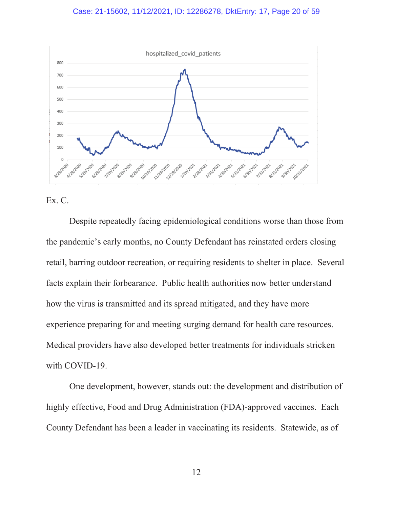#### Case: 21-15602, 11/12/2021, ID: 12286278, DktEntry: 17, Page 20 of 59



Ex. C.

Despite repeatedly facing epidemiological conditions worse than those from the pandemic's early months, no County Defendant has reinstated orders closing retail, barring outdoor recreation, or requiring residents to shelter in place. Several facts explain their forbearance. Public health authorities now better understand how the virus is transmitted and its spread mitigated, and they have more experience preparing for and meeting surging demand for health care resources. Medical providers have also developed better treatments for individuals stricken with COVID-19.

One development, however, stands out: the development and distribution of highly effective, Food and Drug Administration (FDA)-approved vaccines. Each County Defendant has been a leader in vaccinating its residents. Statewide, as of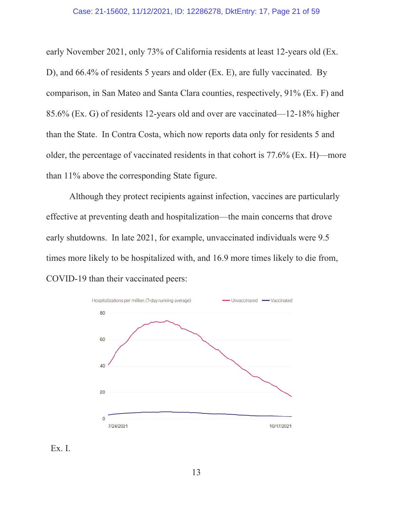### Case: 21-15602, 11/12/2021, ID: 12286278, DktEntry: 17, Page 21 of 59

early November 2021, only 73% of California residents at least 12-years old (Ex. D), and 66.4% of residents 5 years and older (Ex. E), are fully vaccinated. By comparison, in San Mateo and Santa Clara counties, respectively, 91% (Ex. F) and 85.6% (Ex. G) of residents 12-years old and over are vaccinated—12-18% higher than the State. In Contra Costa, which now reports data only for residents 5 and older, the percentage of vaccinated residents in that cohort is 77.6% (Ex. H)—more than 11% above the corresponding State figure.

Although they protect recipients against infection, vaccines are particularly effective at preventing death and hospitalization—the main concerns that drove early shutdowns. In late 2021, for example, unvaccinated individuals were 9.5 times more likely to be hospitalized with, and 16.9 more times likely to die from, COVID-19 than their vaccinated peers:



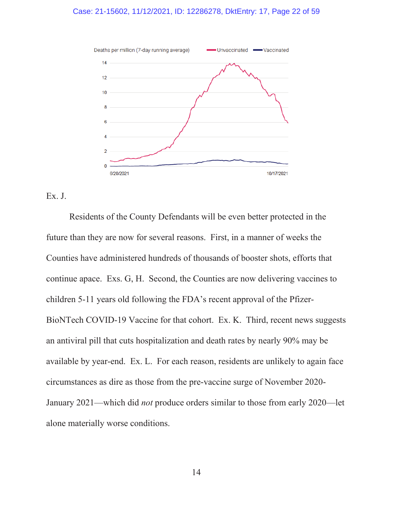### Case: 21-15602, 11/12/2021, ID: 12286278, DktEntry: 17, Page 22 of 59



## Ex. J.

Residents of the County Defendants will be even better protected in the future than they are now for several reasons. First, in a manner of weeks the Counties have administered hundreds of thousands of booster shots, efforts that continue apace. Exs. G, H. Second, the Counties are now delivering vaccines to children 5-11 years old following the FDA's recent approval of the Pfizer-BioNTech COVID-19 Vaccine for that cohort. Ex. K. Third, recent news suggests an antiviral pill that cuts hospitalization and death rates by nearly 90% may be available by year-end. Ex. L. For each reason, residents are unlikely to again face circumstances as dire as those from the pre-vaccine surge of November 2020- January 2021—which did *not* produce orders similar to those from early 2020—let alone materially worse conditions.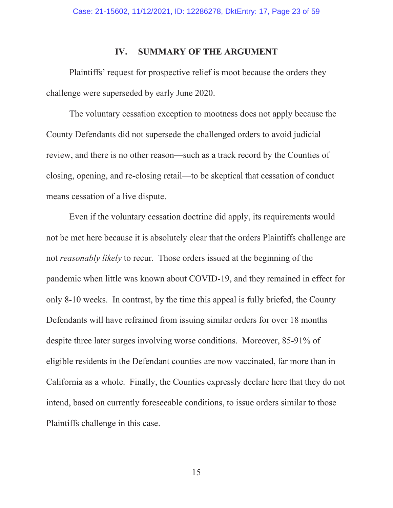### **IV. SUMMARY OF THE ARGUMENT**

Plaintiffs' request for prospective relief is moot because the orders they challenge were superseded by early June 2020.

The voluntary cessation exception to mootness does not apply because the County Defendants did not supersede the challenged orders to avoid judicial review, and there is no other reason—such as a track record by the Counties of closing, opening, and re-closing retail—to be skeptical that cessation of conduct means cessation of a live dispute.

Even if the voluntary cessation doctrine did apply, its requirements would not be met here because it is absolutely clear that the orders Plaintiffs challenge are not *reasonably likely* to recur. Those orders issued at the beginning of the pandemic when little was known about COVID-19, and they remained in effect for only 8-10 weeks. In contrast, by the time this appeal is fully briefed, the County Defendants will have refrained from issuing similar orders for over 18 months despite three later surges involving worse conditions. Moreover, 85-91% of eligible residents in the Defendant counties are now vaccinated, far more than in California as a whole. Finally, the Counties expressly declare here that they do not intend, based on currently foreseeable conditions, to issue orders similar to those Plaintiffs challenge in this case.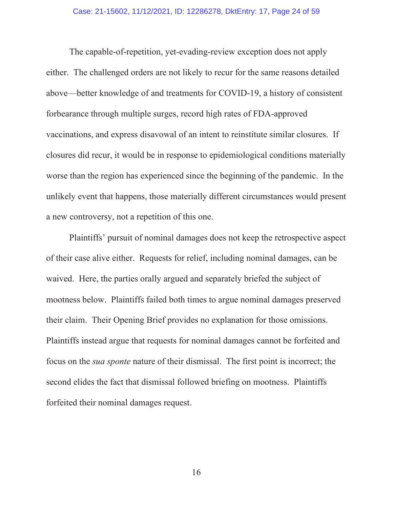The capable-of-repetition, yet-evading-review exception does not apply either. The challenged orders are not likely to recur for the same reasons detailed above—better knowledge of and treatments for COVID-19, a history of consistent forbearance through multiple surges, record high rates of FDA-approved vaccinations, and express disavowal of an intent to reinstitute similar closures. If closures did recur, it would be in response to epidemiological conditions materially worse than the region has experienced since the beginning of the pandemic. In the unlikely event that happens, those materially different circumstances would present a new controversy, not a repetition of this one.

Plaintiffs' pursuit of nominal damages does not keep the retrospective aspect of their case alive either. Requests for relief, including nominal damages, can be waived. Here, the parties orally argued and separately briefed the subject of mootness below. Plaintiffs failed both times to argue nominal damages preserved their claim. Their Opening Brief provides no explanation for those omissions. Plaintiffs instead argue that requests for nominal damages cannot be forfeited and focus on the *sua sponte* nature of their dismissal. The first point is incorrect; the second elides the fact that dismissal followed briefing on mootness. Plaintiffs forfeited their nominal damages request.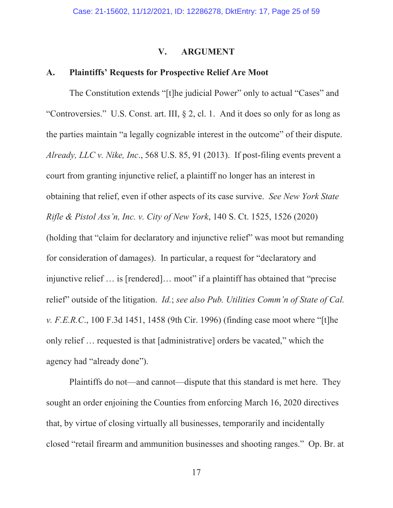### **V. ARGUMENT**

## **A. Plaintiffs' Requests for Prospective Relief Are Moot**

The Constitution extends "[t]he judicial Power" only to actual "Cases" and "Controversies." U.S. Const. art. III, § 2, cl. 1. And it does so only for as long as the parties maintain "a legally cognizable interest in the outcome" of their dispute. *Already, LLC v. Nike, Inc*., 568 U.S. 85, 91 (2013). If post-filing events prevent a court from granting injunctive relief, a plaintiff no longer has an interest in obtaining that relief, even if other aspects of its case survive. *See New York State Rifle & Pistol Ass'n, Inc. v. City of New York*, 140 S. Ct. 1525, 1526 (2020) (holding that "claim for declaratory and injunctive relief" was moot but remanding for consideration of damages). In particular, a request for "declaratory and injunctive relief ... is [rendered]... moot" if a plaintiff has obtained that "precise" relief" outside of the litigation. *Id.*; *see also Pub. Utilities Comm'n of State of Cal. v. F.E.R.C*., 100 F.3d 1451, 1458 (9th Cir. 1996) (finding case moot where "[t]he only relief … requested is that [administrative] orders be vacated," which the agency had "already done").

Plaintiffs do not—and cannot—dispute that this standard is met here. They sought an order enjoining the Counties from enforcing March 16, 2020 directives that, by virtue of closing virtually all businesses, temporarily and incidentally closed "retail firearm and ammunition businesses and shooting ranges." Op. Br. at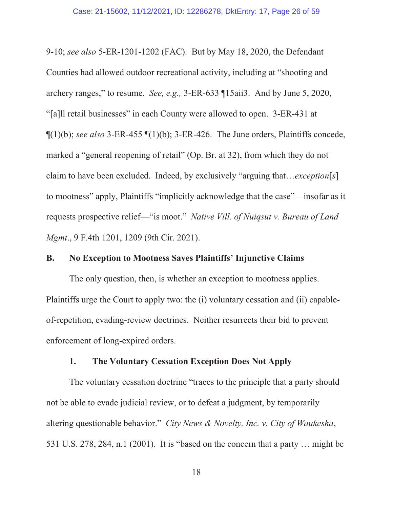9-10; *see also* 5-ER-1201-1202 (FAC). But by May 18, 2020, the Defendant Counties had allowed outdoor recreational activity, including at "shooting and archery ranges," to resume. *See, e.g.,* 3-ER-633 ¶15aii3. And by June 5, 2020, "[a]ll retail businesses" in each County were allowed to open. 3-ER-431 at  $\P(1)(b)$ ; *see also* 3-ER-455  $\P(1)(b)$ ; 3-ER-426. The June orders, Plaintiffs concede, marked a "general reopening of retail" (Op. Br. at 32), from which they do not claim to have been excluded. Indeed, by exclusively "arguing that…*exception*[*s*] to mootness" apply, Plaintiffs "implicitly acknowledge that the case"—insofar as it requests prospective relief—"is moot." *Native Vill. of Nuiqsut v. Bureau of Land Mgmt*., 9 F.4th 1201, 1209 (9th Cir. 2021).

# **B. No Exception to Mootness Saves Plaintiffs' Injunctive Claims**

The only question, then, is whether an exception to mootness applies. Plaintiffs urge the Court to apply two: the (i) voluntary cessation and (ii) capableof-repetition, evading-review doctrines. Neither resurrects their bid to prevent enforcement of long-expired orders.

### **1. The Voluntary Cessation Exception Does Not Apply**

The voluntary cessation doctrine "traces to the principle that a party should not be able to evade judicial review, or to defeat a judgment, by temporarily altering questionable behavior." *City News & Novelty, Inc. v. City of Waukesha*, 531 U.S. 278, 284, n.1 (2001). It is "based on the concern that a party … might be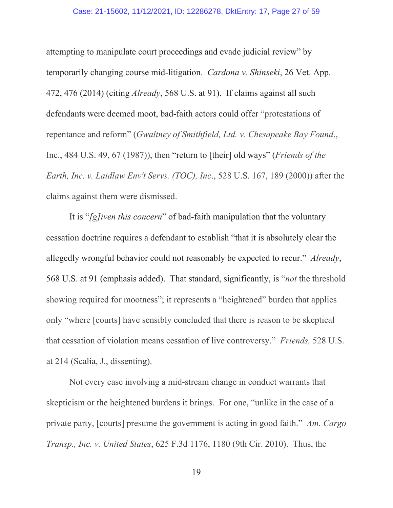### Case: 21-15602, 11/12/2021, ID: 12286278, DktEntry: 17, Page 27 of 59

attempting to manipulate court proceedings and evade judicial review" by temporarily changing course mid-litigation. *Cardona v. Shinseki*, 26 Vet. App. 472, 476 (2014) (citing *Already*, 568 U.S. at 91). If claims against all such defendants were deemed moot, bad-faith actors could offer "protestations of repentance and reform" (*Gwaltney of Smithfield, Ltd. v. Chesapeake Bay Found*., Inc., 484 U.S. 49, 67 (1987)), then "return to [their] old ways" (*Friends of the Earth, Inc. v. Laidlaw Env't Servs. (TOC), Inc*., 528 U.S. 167, 189 (2000)) after the claims against them were dismissed.

It is "*[g]iven this concern*" of bad-faith manipulation that the voluntary cessation doctrine requires a defendant to establish "that it is absolutely clear the allegedly wrongful behavior could not reasonably be expected to recur." *Already*, 568 U.S. at 91 (emphasis added). That standard, significantly, is "*not* the threshold showing required for mootness"; it represents a "heightened" burden that applies only "where [courts] have sensibly concluded that there is reason to be skeptical that cessation of violation means cessation of live controversy." *Friends,* 528 U.S. at 214 (Scalia, J., dissenting).

Not every case involving a mid-stream change in conduct warrants that skepticism or the heightened burdens it brings. For one, "unlike in the case of a private party, [courts] presume the government is acting in good faith." *Am. Cargo Transp., Inc. v. United States*, 625 F.3d 1176, 1180 (9th Cir. 2010). Thus, the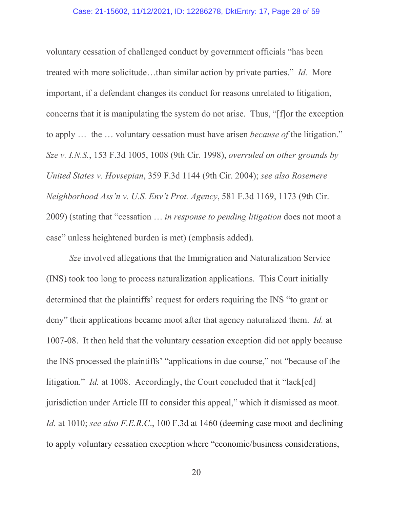#### Case: 21-15602, 11/12/2021, ID: 12286278, DktEntry: 17, Page 28 of 59

voluntary cessation of challenged conduct by government officials "has been treated with more solicitude…than similar action by private parties." *Id.* More important, if a defendant changes its conduct for reasons unrelated to litigation, concerns that it is manipulating the system do not arise. Thus, "[f]or the exception to apply … the … voluntary cessation must have arisen *because of* the litigation." *Sze v. I.N.S.*, 153 F.3d 1005, 1008 (9th Cir. 1998), *overruled on other grounds by United States v. Hovsepian*, 359 F.3d 1144 (9th Cir. 2004); *see also Rosemere Neighborhood Ass'n v. U.S. Env't Prot. Agency*, 581 F.3d 1169, 1173 (9th Cir. 2009) (stating that "cessation … *in response to pending litigation* does not moot a case" unless heightened burden is met) (emphasis added).

*Sze* involved allegations that the Immigration and Naturalization Service (INS) took too long to process naturalization applications. This Court initially determined that the plaintiffs' request for orders requiring the INS "to grant or deny" their applications became moot after that agency naturalized them. *Id.* at 1007-08. It then held that the voluntary cessation exception did not apply because the INS processed the plaintiffs' "applications in due course," not "because of the litigation." *Id.* at 1008. Accordingly, the Court concluded that it "lack[ed] jurisdiction under Article III to consider this appeal," which it dismissed as moot. *Id.* at 1010; *see also F.E.R.C*., 100 F.3d at 1460 (deeming case moot and declining to apply voluntary cessation exception where "economic/business considerations,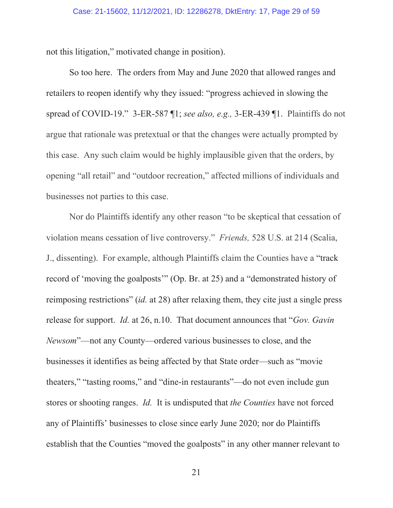not this litigation," motivated change in position).

So too here. The orders from May and June 2020 that allowed ranges and retailers to reopen identify why they issued: "progress achieved in slowing the spread of COVID-19." 3-ER-587 ¶1; *see also, e.g.,* 3-ER-439 ¶1. Plaintiffs do not argue that rationale was pretextual or that the changes were actually prompted by this case. Any such claim would be highly implausible given that the orders, by opening "all retail" and "outdoor recreation," affected millions of individuals and businesses not parties to this case.

Nor do Plaintiffs identify any other reason "to be skeptical that cessation of violation means cessation of live controversy." *Friends,* 528 U.S. at 214 (Scalia, J., dissenting). For example, although Plaintiffs claim the Counties have a "track record of 'moving the goalposts'" (Op. Br. at 25) and a "demonstrated history of reimposing restrictions" (*id.* at 28) after relaxing them, they cite just a single press release for support. *Id.* at 26, n.10. That document announces that "*Gov. Gavin Newsom*"—not any County—ordered various businesses to close, and the businesses it identifies as being affected by that State order—such as "movie theaters," "tasting rooms," and "dine-in restaurants"—do not even include gun stores or shooting ranges. *Id.* It is undisputed that *the Counties* have not forced any of Plaintiffs' businesses to close since early June 2020; nor do Plaintiffs establish that the Counties "moved the goalposts" in any other manner relevant to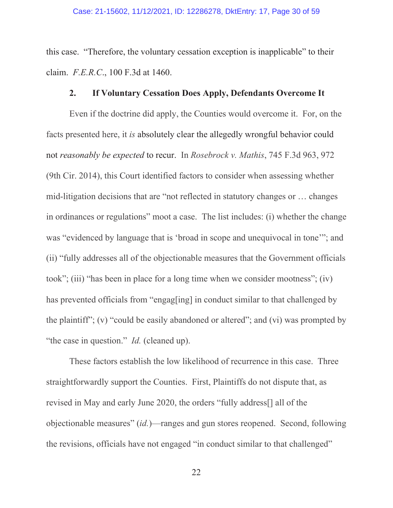this case. "Therefore, the voluntary cessation exception is inapplicable" to their claim. *F.E.R.C*., 100 F.3d at 1460.

# **2. If Voluntary Cessation Does Apply, Defendants Overcome It**

Even if the doctrine did apply, the Counties would overcome it. For, on the facts presented here, it *is* absolutely clear the allegedly wrongful behavior could not *reasonably be expected* to recur. In *Rosebrock v. Mathis*, 745 F.3d 963, 972 (9th Cir. 2014), this Court identified factors to consider when assessing whether mid-litigation decisions that are "not reflected in statutory changes or … changes in ordinances or regulations" moot a case. The list includes: (i) whether the change was "evidenced by language that is 'broad in scope and unequivocal in tone'"; and (ii) "fully addresses all of the objectionable measures that the Government officials took"; (iii) "has been in place for a long time when we consider mootness"; (iv) has prevented officials from "engag[ing] in conduct similar to that challenged by the plaintiff"; (v) "could be easily abandoned or altered"; and (vi) was prompted by "the case in question." *Id.* (cleaned up).

These factors establish the low likelihood of recurrence in this case. Three straightforwardly support the Counties. First, Plaintiffs do not dispute that, as revised in May and early June 2020, the orders "fully address[] all of the objectionable measures" (*id.*)—ranges and gun stores reopened. Second, following the revisions, officials have not engaged "in conduct similar to that challenged"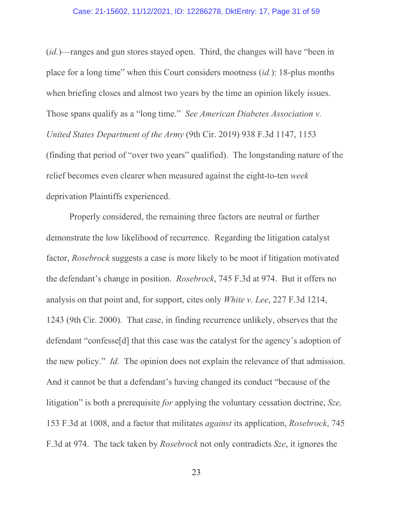### Case: 21-15602, 11/12/2021, ID: 12286278, DktEntry: 17, Page 31 of 59

(*id.*)—ranges and gun stores stayed open. Third, the changes will have "been in place for a long time" when this Court considers mootness (*id.*): 18-plus months when briefing closes and almost two years by the time an opinion likely issues. Those spans qualify as a "long time." *See American Diabetes Association v. United States Department of the Army* (9th Cir. 2019) 938 F.3d 1147, 1153 (finding that period of "over two years" qualified). The longstanding nature of the relief becomes even clearer when measured against the eight-to-ten *week* deprivation Plaintiffs experienced.

Properly considered, the remaining three factors are neutral or further demonstrate the low likelihood of recurrence. Regarding the litigation catalyst factor, *Rosebrock* suggests a case is more likely to be moot if litigation motivated the defendant's change in position. *Rosebrock*, 745 F.3d at 974. But it offers no analysis on that point and, for support, cites only *White v. Lee*, 227 F.3d 1214, 1243 (9th Cir. 2000). That case, in finding recurrence unlikely, observes that the defendant "confesse[d] that this case was the catalyst for the agency's adoption of the new policy." *Id.* The opinion does not explain the relevance of that admission. And it cannot be that a defendant's having changed its conduct "because of the litigation" is both a prerequisite *for* applying the voluntary cessation doctrine, *Sze,*  153 F.3d at 1008, and a factor that militates *against* its application, *Rosebrock*, 745 F.3d at 974. The tack taken by *Rosebrock* not only contradicts *Sze*, it ignores the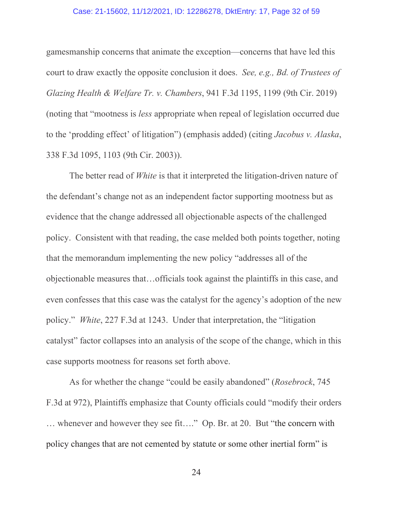### Case: 21-15602, 11/12/2021, ID: 12286278, DktEntry: 17, Page 32 of 59

gamesmanship concerns that animate the exception—concerns that have led this court to draw exactly the opposite conclusion it does. *See, e.g., Bd. of Trustees of Glazing Health & Welfare Tr. v. Chambers*, 941 F.3d 1195, 1199 (9th Cir. 2019) (noting that "mootness is *less* appropriate when repeal of legislation occurred due to the 'prodding effect' of litigation") (emphasis added) (citing *Jacobus v. Alaska*, 338 F.3d 1095, 1103 (9th Cir. 2003)).

The better read of *White* is that it interpreted the litigation-driven nature of the defendant's change not as an independent factor supporting mootness but as evidence that the change addressed all objectionable aspects of the challenged policy. Consistent with that reading, the case melded both points together, noting that the memorandum implementing the new policy "addresses all of the objectionable measures that…officials took against the plaintiffs in this case, and even confesses that this case was the catalyst for the agency's adoption of the new policy." *White*, 227 F.3d at 1243. Under that interpretation, the "litigation catalyst" factor collapses into an analysis of the scope of the change, which in this case supports mootness for reasons set forth above.

As for whether the change "could be easily abandoned" (*Rosebrock*, 745 F.3d at 972), Plaintiffs emphasize that County officials could "modify their orders … whenever and however they see fit…." Op. Br. at 20. But "the concern with policy changes that are not cemented by statute or some other inertial form" is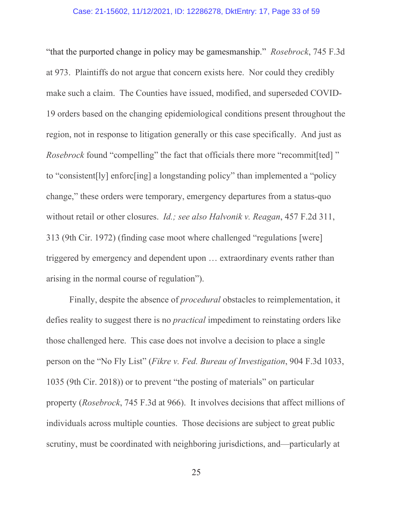### Case: 21-15602, 11/12/2021, ID: 12286278, DktEntry: 17, Page 33 of 59

"that the purported change in policy may be gamesmanship." *Rosebrock*, 745 F.3d at 973. Plaintiffs do not argue that concern exists here. Nor could they credibly make such a claim. The Counties have issued, modified, and superseded COVID-19 orders based on the changing epidemiological conditions present throughout the region, not in response to litigation generally or this case specifically. And just as *Rosebrock* found "compelling" the fact that officials there more "recommit[ted]" to "consistent[ly] enforc[ing] a longstanding policy" than implemented a "policy change," these orders were temporary, emergency departures from a status-quo without retail or other closures. *Id.; see also Halvonik v. Reagan*, 457 F.2d 311, 313 (9th Cir. 1972) (finding case moot where challenged "regulations [were] triggered by emergency and dependent upon … extraordinary events rather than arising in the normal course of regulation").

Finally, despite the absence of *procedural* obstacles to reimplementation, it defies reality to suggest there is no *practical* impediment to reinstating orders like those challenged here. This case does not involve a decision to place a single person on the "No Fly List" (*Fikre v. Fed. Bureau of Investigation*, 904 F.3d 1033, 1035 (9th Cir. 2018)) or to prevent "the posting of materials" on particular property (*Rosebrock*, 745 F.3d at 966). It involves decisions that affect millions of individuals across multiple counties. Those decisions are subject to great public scrutiny, must be coordinated with neighboring jurisdictions, and—particularly at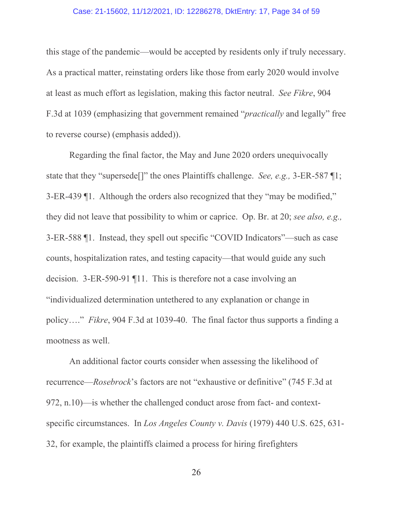### Case: 21-15602, 11/12/2021, ID: 12286278, DktEntry: 17, Page 34 of 59

this stage of the pandemic—would be accepted by residents only if truly necessary. As a practical matter, reinstating orders like those from early 2020 would involve at least as much effort as legislation, making this factor neutral. *See Fikre*, 904 F.3d at 1039 (emphasizing that government remained "*practically* and legally" free to reverse course) (emphasis added)).

Regarding the final factor, the May and June 2020 orders unequivocally state that they "supersede[]" the ones Plaintiffs challenge. *See, e.g.,* 3-ER-587 ¶1; 3-ER-439 ¶1. Although the orders also recognized that they "may be modified," they did not leave that possibility to whim or caprice. Op. Br. at 20; *see also, e.g.,*  3-ER-588 ¶1. Instead, they spell out specific "COVID Indicators"—such as case counts, hospitalization rates, and testing capacity—that would guide any such decision. 3-ER-590-91 ¶11. This is therefore not a case involving an "individualized determination untethered to any explanation or change in policy…." *Fikre*, 904 F.3d at 1039-40. The final factor thus supports a finding a mootness as well.

An additional factor courts consider when assessing the likelihood of recurrence—*Rosebrock*'s factors are not "exhaustive or definitive" (745 F.3d at 972, n.10)—is whether the challenged conduct arose from fact- and contextspecific circumstances. In *Los Angeles County v. Davis* (1979) 440 U.S. 625, 631- 32, for example, the plaintiffs claimed a process for hiring firefighters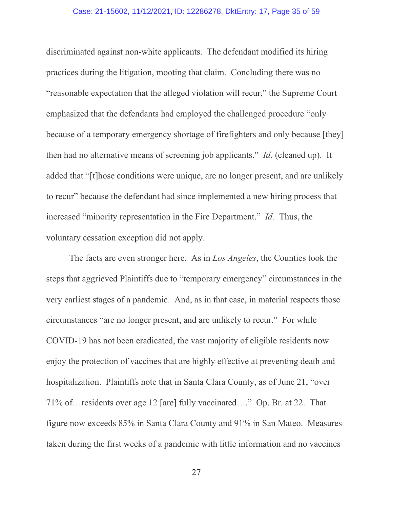### Case: 21-15602, 11/12/2021, ID: 12286278, DktEntry: 17, Page 35 of 59

discriminated against non-white applicants. The defendant modified its hiring practices during the litigation, mooting that claim. Concluding there was no "reasonable expectation that the alleged violation will recur," the Supreme Court emphasized that the defendants had employed the challenged procedure "only because of a temporary emergency shortage of firefighters and only because [they] then had no alternative means of screening job applicants." *Id.* (cleaned up). It added that "[t]hose conditions were unique, are no longer present, and are unlikely to recur" because the defendant had since implemented a new hiring process that increased "minority representation in the Fire Department." *Id.* Thus, the voluntary cessation exception did not apply.

The facts are even stronger here. As in *Los Angeles*, the Counties took the steps that aggrieved Plaintiffs due to "temporary emergency" circumstances in the very earliest stages of a pandemic. And, as in that case, in material respects those circumstances "are no longer present, and are unlikely to recur." For while COVID-19 has not been eradicated, the vast majority of eligible residents now enjoy the protection of vaccines that are highly effective at preventing death and hospitalization. Plaintiffs note that in Santa Clara County, as of June 21, "over 71% of…residents over age 12 [are] fully vaccinated…." Op. Br. at 22. That figure now exceeds 85% in Santa Clara County and 91% in San Mateo. Measures taken during the first weeks of a pandemic with little information and no vaccines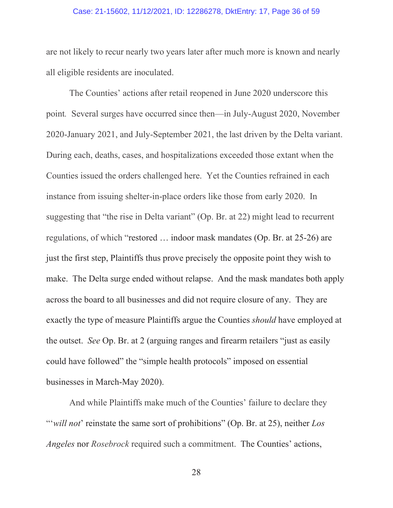### Case: 21-15602, 11/12/2021, ID: 12286278, DktEntry: 17, Page 36 of 59

are not likely to recur nearly two years later after much more is known and nearly all eligible residents are inoculated.

The Counties' actions after retail reopened in June 2020 underscore this point*.* Several surges have occurred since then—in July-August 2020, November 2020-January 2021, and July-September 2021, the last driven by the Delta variant. During each, deaths, cases, and hospitalizations exceeded those extant when the Counties issued the orders challenged here. Yet the Counties refrained in each instance from issuing shelter-in-place orders like those from early 2020. In suggesting that "the rise in Delta variant" (Op. Br. at 22) might lead to recurrent regulations, of which "restored … indoor mask mandates (Op. Br. at 25-26) are just the first step, Plaintiffs thus prove precisely the opposite point they wish to make. The Delta surge ended without relapse. And the mask mandates both apply across the board to all businesses and did not require closure of any. They are exactly the type of measure Plaintiffs argue the Counties *should* have employed at the outset. *See* Op. Br. at 2 (arguing ranges and firearm retailers "just as easily could have followed" the "simple health protocols" imposed on essential businesses in March-May 2020).

And while Plaintiffs make much of the Counties' failure to declare they "'*will not*' reinstate the same sort of prohibitions" (Op. Br. at 25), neither *Los Angeles* nor *Rosebrock* required such a commitment. The Counties' actions,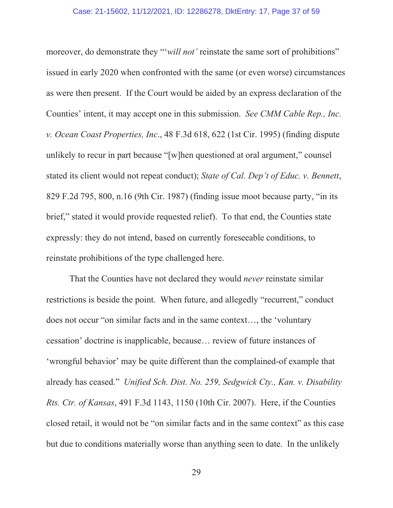moreover, do demonstrate they "*'will not'* reinstate the same sort of prohibitions" issued in early 2020 when confronted with the same (or even worse) circumstances as were then present. If the Court would be aided by an express declaration of the Counties' intent, it may accept one in this submission. *See CMM Cable Rep., Inc. v. Ocean Coast Properties, Inc*., 48 F.3d 618, 622 (1st Cir. 1995) (finding dispute unlikely to recur in part because "[w]hen questioned at oral argument," counsel stated its client would not repeat conduct); *State of Cal. Dep't of Educ. v. Bennett*, 829 F.2d 795, 800, n.16 (9th Cir. 1987) (finding issue moot because party, "in its brief," stated it would provide requested relief). To that end, the Counties state expressly: they do not intend, based on currently foreseeable conditions, to reinstate prohibitions of the type challenged here.

That the Counties have not declared they would *never* reinstate similar restrictions is beside the point. When future, and allegedly "recurrent," conduct does not occur "on similar facts and in the same context…, the 'voluntary cessation' doctrine is inapplicable, because… review of future instances of 'wrongful behavior' may be quite different than the complained-of example that already has ceased." *Unified Sch. Dist. No. 259, Sedgwick Cty., Kan. v. Disability Rts. Ctr. of Kansas*, 491 F.3d 1143, 1150 (10th Cir. 2007). Here, if the Counties closed retail, it would not be "on similar facts and in the same context" as this case but due to conditions materially worse than anything seen to date. In the unlikely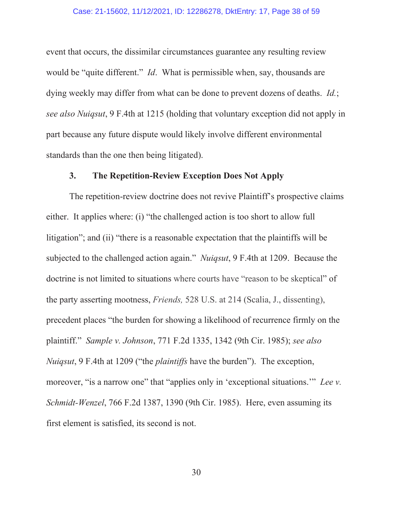#### Case: 21-15602, 11/12/2021, ID: 12286278, DktEntry: 17, Page 38 of 59

event that occurs, the dissimilar circumstances guarantee any resulting review would be "quite different." *Id*. What is permissible when, say, thousands are dying weekly may differ from what can be done to prevent dozens of deaths. *Id.*; *see also Nuiqsut*, 9 F.4th at 1215 (holding that voluntary exception did not apply in part because any future dispute would likely involve different environmental standards than the one then being litigated).

# **3. The Repetition-Review Exception Does Not Apply**

The repetition-review doctrine does not revive Plaintiff's prospective claims either. It applies where: (i) "the challenged action is too short to allow full litigation"; and (ii) "there is a reasonable expectation that the plaintiffs will be subjected to the challenged action again." *Nuiqsut*, 9 F.4th at 1209. Because the doctrine is not limited to situations where courts have "reason to be skeptical" of the party asserting mootness, *Friends,* 528 U.S. at 214 (Scalia, J., dissenting), precedent places "the burden for showing a likelihood of recurrence firmly on the plaintiff." *Sample v. Johnson*, 771 F.2d 1335, 1342 (9th Cir. 1985); *see also Nuiqsut*, 9 F.4th at 1209 ("the *plaintiffs* have the burden"). The exception, moreover, "is a narrow one" that "applies only in 'exceptional situations." *Lee v. Schmidt-Wenzel*, 766 F.2d 1387, 1390 (9th Cir. 1985). Here, even assuming its first element is satisfied, its second is not.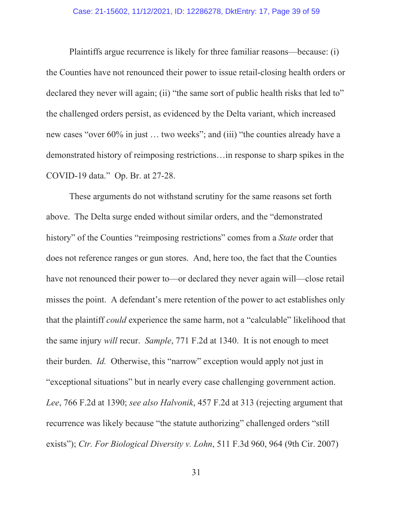#### Case: 21-15602, 11/12/2021, ID: 12286278, DktEntry: 17, Page 39 of 59

Plaintiffs argue recurrence is likely for three familiar reasons—because: (i) the Counties have not renounced their power to issue retail-closing health orders or declared they never will again; (ii) "the same sort of public health risks that led to" the challenged orders persist, as evidenced by the Delta variant, which increased new cases "over 60% in just … two weeks"; and (iii) "the counties already have a demonstrated history of reimposing restrictions…in response to sharp spikes in the COVID-19 data." Op. Br. at 27-28.

These arguments do not withstand scrutiny for the same reasons set forth above. The Delta surge ended without similar orders, and the "demonstrated history" of the Counties "reimposing restrictions" comes from a *State* order that does not reference ranges or gun stores. And, here too, the fact that the Counties have not renounced their power to—or declared they never again will—close retail misses the point. A defendant's mere retention of the power to act establishes only that the plaintiff *could* experience the same harm, not a "calculable" likelihood that the same injury *will* recur. *Sample*, 771 F.2d at 1340. It is not enough to meet their burden. *Id.* Otherwise, this "narrow" exception would apply not just in "exceptional situations" but in nearly every case challenging government action. *Lee*, 766 F.2d at 1390; *see also Halvonik*, 457 F.2d at 313 (rejecting argument that recurrence was likely because "the statute authorizing" challenged orders "still exists"); *Ctr. For Biological Diversity v. Lohn*, 511 F.3d 960, 964 (9th Cir. 2007)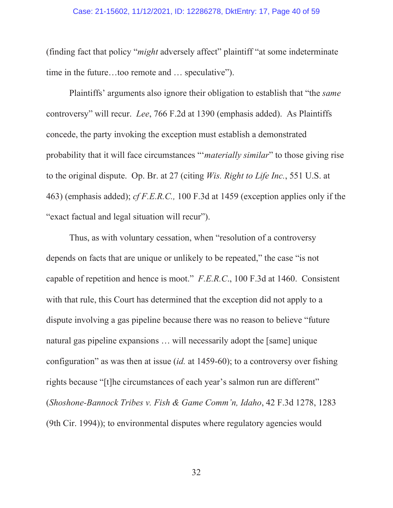### Case: 21-15602, 11/12/2021, ID: 12286278, DktEntry: 17, Page 40 of 59

(finding fact that policy "*might* adversely affect" plaintiff "at some indeterminate time in the future…too remote and … speculative").

Plaintiffs' arguments also ignore their obligation to establish that "the *same* controversy" will recur. *Lee*, 766 F.2d at 1390 (emphasis added). As Plaintiffs concede, the party invoking the exception must establish a demonstrated probability that it will face circumstances "'*materially similar*" to those giving rise to the original dispute. Op. Br. at 27 (citing *Wis. Right to Life Inc.*, 551 U.S. at 463) (emphasis added); *cf F.E.R.C.,* 100 F.3d at 1459 (exception applies only if the "exact factual and legal situation will recur").

Thus, as with voluntary cessation, when "resolution of a controversy depends on facts that are unique or unlikely to be repeated," the case "is not capable of repetition and hence is moot." *F.E.R.C*., 100 F.3d at 1460. Consistent with that rule, this Court has determined that the exception did not apply to a dispute involving a gas pipeline because there was no reason to believe "future natural gas pipeline expansions … will necessarily adopt the [same] unique configuration" as was then at issue (*id.* at 1459-60); to a controversy over fishing rights because "[t]he circumstances of each year's salmon run are different" (*Shoshone-Bannock Tribes v. Fish & Game Comm'n, Idaho*, 42 F.3d 1278, 1283 (9th Cir. 1994)); to environmental disputes where regulatory agencies would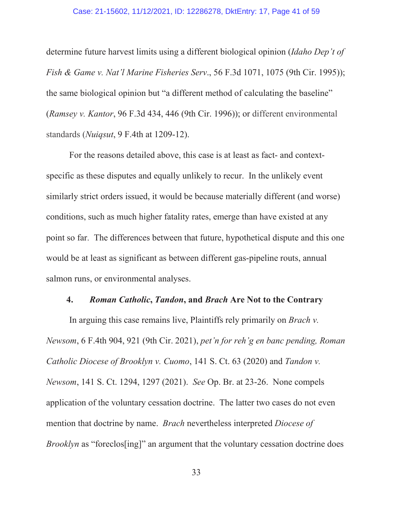### Case: 21-15602, 11/12/2021, ID: 12286278, DktEntry: 17, Page 41 of 59

determine future harvest limits using a different biological opinion (*Idaho Dep't of Fish & Game v. Nat'l Marine Fisheries Serv*., 56 F.3d 1071, 1075 (9th Cir. 1995)); the same biological opinion but "a different method of calculating the baseline" (*Ramsey v. Kantor*, 96 F.3d 434, 446 (9th Cir. 1996)); or different environmental standards (*Nuiqsut*, 9 F.4th at 1209-12).

For the reasons detailed above, this case is at least as fact- and contextspecific as these disputes and equally unlikely to recur. In the unlikely event similarly strict orders issued, it would be because materially different (and worse) conditions, such as much higher fatality rates, emerge than have existed at any point so far. The differences between that future, hypothetical dispute and this one would be at least as significant as between different gas-pipeline routs, annual salmon runs, or environmental analyses.

## **4.** *Roman Catholic***,** *Tandon***, and** *Brach* **Are Not to the Contrary**

In arguing this case remains live, Plaintiffs rely primarily on *Brach v. Newsom*, 6 F.4th 904, 921 (9th Cir. 2021), *pet'n for reh'g en banc pending, Roman Catholic Diocese of Brooklyn v. Cuomo*, 141 S. Ct. 63 (2020) and *Tandon v. Newsom*, 141 S. Ct. 1294, 1297 (2021). *See* Op. Br. at 23-26. None compels application of the voluntary cessation doctrine. The latter two cases do not even mention that doctrine by name. *Brach* nevertheless interpreted *Diocese of Brooklyn* as "foreclos[ing]" an argument that the voluntary cessation doctrine does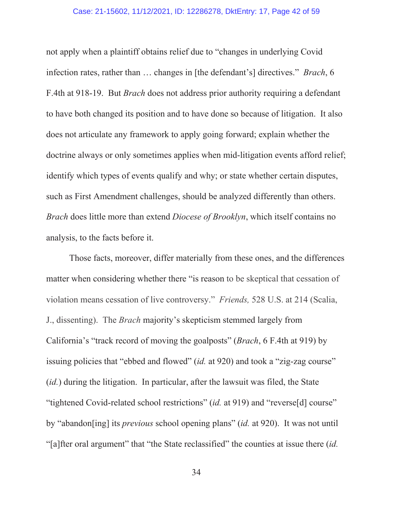### Case: 21-15602, 11/12/2021, ID: 12286278, DktEntry: 17, Page 42 of 59

not apply when a plaintiff obtains relief due to "changes in underlying Covid infection rates, rather than … changes in [the defendant's] directives." *Brach*, 6 F.4th at 918-19. But *Brach* does not address prior authority requiring a defendant to have both changed its position and to have done so because of litigation. It also does not articulate any framework to apply going forward; explain whether the doctrine always or only sometimes applies when mid-litigation events afford relief; identify which types of events qualify and why; or state whether certain disputes, such as First Amendment challenges, should be analyzed differently than others. *Brach* does little more than extend *Diocese of Brooklyn*, which itself contains no analysis, to the facts before it.

Those facts, moreover, differ materially from these ones, and the differences matter when considering whether there "is reason to be skeptical that cessation of violation means cessation of live controversy." *Friends,* 528 U.S. at 214 (Scalia, J., dissenting). The *Brach* majority's skepticism stemmed largely from California's "track record of moving the goalposts" (*Brach*, 6 F.4th at 919) by issuing policies that "ebbed and flowed" (*id.* at 920) and took a "zig-zag course" (*id.*) during the litigation. In particular, after the lawsuit was filed, the State "tightened Covid-related school restrictions" (*id.* at 919) and "reverse[d] course" by "abandon[ing] its *previous* school opening plans" (*id.* at 920). It was not until "[a]fter oral argument" that "the State reclassified" the counties at issue there (*id.*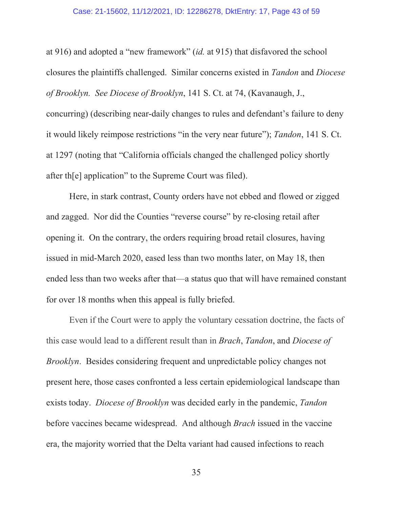### Case: 21-15602, 11/12/2021, ID: 12286278, DktEntry: 17, Page 43 of 59

at 916) and adopted a "new framework" (*id.* at 915) that disfavored the school closures the plaintiffs challenged. Similar concerns existed in *Tandon* and *Diocese of Brooklyn. See Diocese of Brooklyn*, 141 S. Ct. at 74, (Kavanaugh, J., concurring) (describing near-daily changes to rules and defendant's failure to deny it would likely reimpose restrictions "in the very near future"); *Tandon*, 141 S. Ct. at 1297 (noting that "California officials changed the challenged policy shortly after th[e] application" to the Supreme Court was filed).

Here, in stark contrast, County orders have not ebbed and flowed or zigged and zagged. Nor did the Counties "reverse course" by re-closing retail after opening it. On the contrary, the orders requiring broad retail closures, having issued in mid-March 2020, eased less than two months later, on May 18, then ended less than two weeks after that—a status quo that will have remained constant for over 18 months when this appeal is fully briefed.

Even if the Court were to apply the voluntary cessation doctrine, the facts of this case would lead to a different result than in *Brach*, *Tandon*, and *Diocese of Brooklyn*. Besides considering frequent and unpredictable policy changes not present here, those cases confronted a less certain epidemiological landscape than exists today. *Diocese of Brooklyn* was decided early in the pandemic, *Tandon* before vaccines became widespread. And although *Brach* issued in the vaccine era, the majority worried that the Delta variant had caused infections to reach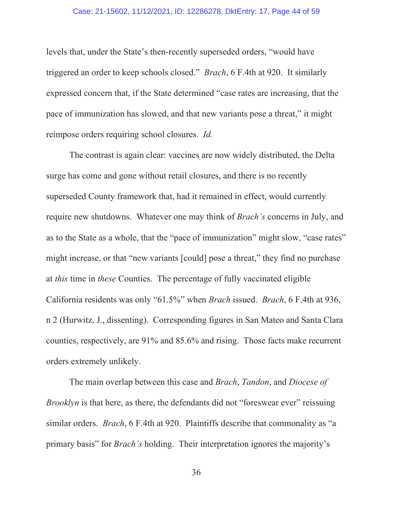### Case: 21-15602, 11/12/2021, ID: 12286278, DktEntry: 17, Page 44 of 59

levels that, under the State's then-recently superseded orders, "would have triggered an order to keep schools closed." *Brach*, 6 F.4th at 920. It similarly expressed concern that, if the State determined "case rates are increasing, that the pace of immunization has slowed, and that new variants pose a threat," it might reimpose orders requiring school closures. *Id.*

The contrast is again clear: vaccines are now widely distributed, the Delta surge has come and gone without retail closures, and there is no recently superseded County framework that, had it remained in effect, would currently require new shutdowns. Whatever one may think of *Brach's* concerns in July, and as to the State as a whole, that the "pace of immunization" might slow, "case rates" might increase, or that "new variants [could] pose a threat," they find no purchase at *this* time in *these* Counties. The percentage of fully vaccinated eligible California residents was only "61.5%" when *Brach* issued. *Brach*, 6 F.4th at 936, n 2 (Hurwitz, J., dissenting). Corresponding figures in San Mateo and Santa Clara counties, respectively, are 91% and 85.6% and rising. Those facts make recurrent orders extremely unlikely.

The main overlap between this case and *Brach*, *Tandon*, and *Diocese of Brooklyn* is that here, as there, the defendants did not "foreswear ever" reissuing similar orders. *Brach*, 6 F.4th at 920. Plaintiffs describe that commonality as "a primary basis" for *Brach's* holding. Their interpretation ignores the majority's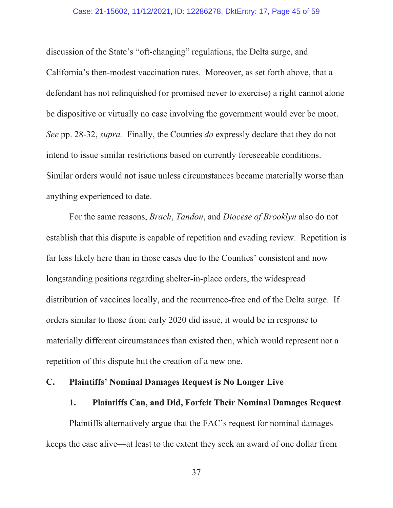### Case: 21-15602, 11/12/2021, ID: 12286278, DktEntry: 17, Page 45 of 59

discussion of the State's "oft-changing" regulations, the Delta surge, and California's then-modest vaccination rates. Moreover, as set forth above, that a defendant has not relinquished (or promised never to exercise) a right cannot alone be dispositive or virtually no case involving the government would ever be moot. *See* pp. 28-32, *supra.* Finally, the Counties *do* expressly declare that they do not intend to issue similar restrictions based on currently foreseeable conditions. Similar orders would not issue unless circumstances became materially worse than anything experienced to date.

For the same reasons, *Brach*, *Tandon*, and *Diocese of Brooklyn* also do not establish that this dispute is capable of repetition and evading review. Repetition is far less likely here than in those cases due to the Counties' consistent and now longstanding positions regarding shelter-in-place orders, the widespread distribution of vaccines locally, and the recurrence-free end of the Delta surge. If orders similar to those from early 2020 did issue, it would be in response to materially different circumstances than existed then, which would represent not a repetition of this dispute but the creation of a new one.

# **C. Plaintiffs' Nominal Damages Request is No Longer Live**

## **1. Plaintiffs Can, and Did, Forfeit Their Nominal Damages Request**

Plaintiffs alternatively argue that the FAC's request for nominal damages keeps the case alive—at least to the extent they seek an award of one dollar from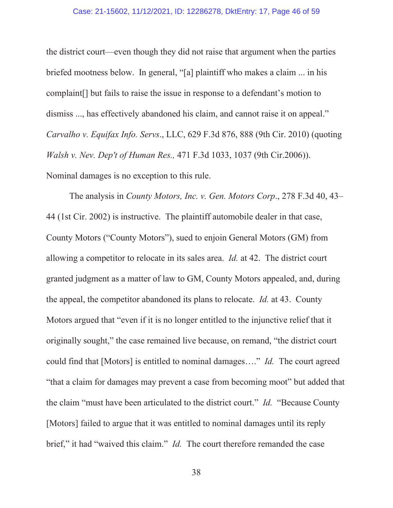### Case: 21-15602, 11/12/2021, ID: 12286278, DktEntry: 17, Page 46 of 59

the district court—even though they did not raise that argument when the parties briefed mootness below. In general, "[a] plaintiff who makes a claim ... in his complaint[] but fails to raise the issue in response to a defendant's motion to dismiss ..., has effectively abandoned his claim, and cannot raise it on appeal." *Carvalho v. Equifax Info. Servs*., LLC, 629 F.3d 876, 888 (9th Cir. 2010) (quoting *Walsh v. Nev. Dep't of Human Res.,* 471 F.3d 1033, 1037 (9th Cir.2006)). Nominal damages is no exception to this rule.

The analysis in *County Motors, Inc. v. Gen. Motors Corp*., 278 F.3d 40, 43– 44 (1st Cir. 2002) is instructive. The plaintiff automobile dealer in that case, County Motors ("County Motors"), sued to enjoin General Motors (GM) from allowing a competitor to relocate in its sales area. *Id.* at 42. The district court granted judgment as a matter of law to GM, County Motors appealed, and, during the appeal, the competitor abandoned its plans to relocate. *Id.* at 43. County Motors argued that "even if it is no longer entitled to the injunctive relief that it originally sought," the case remained live because, on remand, "the district court could find that [Motors] is entitled to nominal damages…." *Id.* The court agreed "that a claim for damages may prevent a case from becoming moot" but added that the claim "must have been articulated to the district court." *Id.* "Because County [Motors] failed to argue that it was entitled to nominal damages until its reply brief," it had "waived this claim." *Id.* The court therefore remanded the case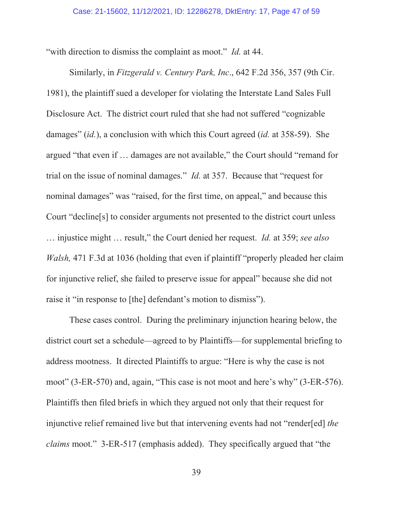"with direction to dismiss the complaint as moot." *Id.* at 44.

Similarly, in *Fitzgerald v. Century Park, Inc*., 642 F.2d 356, 357 (9th Cir. 1981), the plaintiff sued a developer for violating the Interstate Land Sales Full Disclosure Act. The district court ruled that she had not suffered "cognizable damages" (*id.*), a conclusion with which this Court agreed (*id.* at 358-59). She argued "that even if … damages are not available," the Court should "remand for trial on the issue of nominal damages." *Id.* at 357. Because that "request for nominal damages" was "raised, for the first time, on appeal," and because this Court "decline[s] to consider arguments not presented to the district court unless … injustice might … result," the Court denied her request. *Id.* at 359; *see also Walsh*, 471 F.3d at 1036 (holding that even if plaintiff "properly pleaded her claim for injunctive relief, she failed to preserve issue for appeal" because she did not raise it "in response to [the] defendant's motion to dismiss").

These cases control. During the preliminary injunction hearing below, the district court set a schedule—agreed to by Plaintiffs—for supplemental briefing to address mootness. It directed Plaintiffs to argue: "Here is why the case is not moot" (3-ER-570) and, again, "This case is not moot and here's why" (3-ER-576). Plaintiffs then filed briefs in which they argued not only that their request for injunctive relief remained live but that intervening events had not "render[ed] *the claims* moot." 3-ER-517 (emphasis added). They specifically argued that "the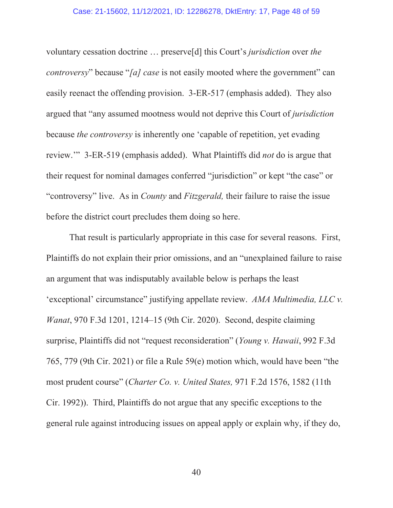voluntary cessation doctrine … preserve[d] this Court's *jurisdiction* over *the controversy*" because "*[a] case* is not easily mooted where the government" can easily reenact the offending provision. 3-ER-517 (emphasis added). They also argued that "any assumed mootness would not deprive this Court of *jurisdiction* because *the controversy* is inherently one 'capable of repetition, yet evading review.'" 3-ER-519 (emphasis added). What Plaintiffs did *not* do is argue that their request for nominal damages conferred "jurisdiction" or kept "the case" or "controversy" live. As in *County* and *Fitzgerald,* their failure to raise the issue before the district court precludes them doing so here.

That result is particularly appropriate in this case for several reasons. First, Plaintiffs do not explain their prior omissions, and an "unexplained failure to raise an argument that was indisputably available below is perhaps the least 'exceptional' circumstance" justifying appellate review. *AMA Multimedia, LLC v. Wanat*, 970 F.3d 1201, 1214–15 (9th Cir. 2020). Second, despite claiming surprise, Plaintiffs did not "request reconsideration" (*Young v. Hawaii*, 992 F.3d 765, 779 (9th Cir. 2021) or file a Rule 59(e) motion which, would have been "the most prudent course" (*Charter Co. v. United States,* 971 F.2d 1576, 1582 (11th Cir. 1992)). Third, Plaintiffs do not argue that any specific exceptions to the general rule against introducing issues on appeal apply or explain why, if they do,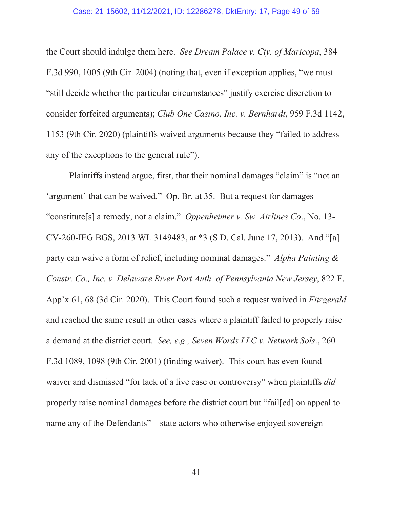### Case: 21-15602, 11/12/2021, ID: 12286278, DktEntry: 17, Page 49 of 59

the Court should indulge them here. *See Dream Palace v. Cty. of Maricopa*, 384 F.3d 990, 1005 (9th Cir. 2004) (noting that, even if exception applies, "we must "still decide whether the particular circumstances" justify exercise discretion to consider forfeited arguments); *Club One Casino, Inc. v. Bernhardt*, 959 F.3d 1142, 1153 (9th Cir. 2020) (plaintiffs waived arguments because they "failed to address any of the exceptions to the general rule").

Plaintiffs instead argue, first, that their nominal damages "claim" is "not an 'argument' that can be waived." Op. Br. at 35. But a request for damages "constitute[s] a remedy, not a claim." *Oppenheimer v. Sw. Airlines Co*., No. 13- CV-260-IEG BGS, 2013 WL 3149483, at \*3 (S.D. Cal. June 17, 2013). And "[a] party can waive a form of relief, including nominal damages." *Alpha Painting & Constr. Co., Inc. v. Delaware River Port Auth. of Pennsylvania New Jersey*, 822 F. App'x 61, 68 (3d Cir. 2020). This Court found such a request waived in *Fitzgerald* and reached the same result in other cases where a plaintiff failed to properly raise a demand at the district court. *See, e.g., Seven Words LLC v. Network Sols*., 260 F.3d 1089, 1098 (9th Cir. 2001) (finding waiver). This court has even found waiver and dismissed "for lack of a live case or controversy" when plaintiffs *did* properly raise nominal damages before the district court but "fail[ed] on appeal to name any of the Defendants"—state actors who otherwise enjoyed sovereign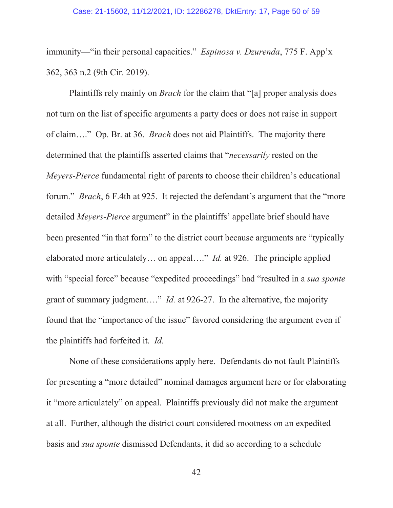### Case: 21-15602, 11/12/2021, ID: 12286278, DktEntry: 17, Page 50 of 59

immunity—"in their personal capacities." *Espinosa v. Dzurenda*, 775 F. App'x 362, 363 n.2 (9th Cir. 2019).

Plaintiffs rely mainly on *Brach* for the claim that "[a] proper analysis does not turn on the list of specific arguments a party does or does not raise in support of claim…." Op. Br. at 36. *Brach* does not aid Plaintiffs. The majority there determined that the plaintiffs asserted claims that "*necessarily* rested on the *Meyers-Pierce* fundamental right of parents to choose their children's educational forum." *Brach*, 6 F.4th at 925. It rejected the defendant's argument that the "more detailed *Meyers-Pierce* argument" in the plaintiffs' appellate brief should have been presented "in that form" to the district court because arguments are "typically elaborated more articulately… on appeal…." *Id.* at 926. The principle applied with "special force" because "expedited proceedings" had "resulted in a *sua sponte* grant of summary judgment…." *Id.* at 926-27. In the alternative, the majority found that the "importance of the issue" favored considering the argument even if the plaintiffs had forfeited it. *Id.*

None of these considerations apply here. Defendants do not fault Plaintiffs for presenting a "more detailed" nominal damages argument here or for elaborating it "more articulately" on appeal. Plaintiffs previously did not make the argument at all. Further, although the district court considered mootness on an expedited basis and *sua sponte* dismissed Defendants, it did so according to a schedule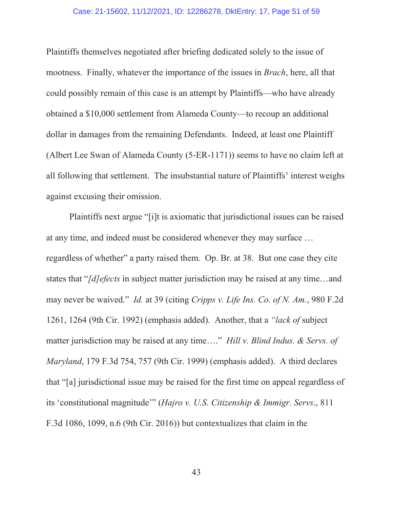#### Case: 21-15602, 11/12/2021, ID: 12286278, DktEntry: 17, Page 51 of 59

Plaintiffs themselves negotiated after briefing dedicated solely to the issue of mootness. Finally, whatever the importance of the issues in *Brach*, here, all that could possibly remain of this case is an attempt by Plaintiffs—who have already obtained a \$10,000 settlement from Alameda County—to recoup an additional dollar in damages from the remaining Defendants. Indeed, at least one Plaintiff (Albert Lee Swan of Alameda County (5-ER-1171)) seems to have no claim left at all following that settlement. The insubstantial nature of Plaintiffs' interest weighs against excusing their omission.

Plaintiffs next argue "[i]t is axiomatic that jurisdictional issues can be raised at any time, and indeed must be considered whenever they may surface … regardless of whether" a party raised them. Op. Br. at 38. But one case they cite states that "*[d]efects* in subject matter jurisdiction may be raised at any time…and may never be waived." *Id.* at 39 (citing *Cripps v. Life Ins. Co. of N. Am.*, 980 F.2d 1261, 1264 (9th Cir. 1992) (emphasis added). Another, that a *"lack of* subject matter jurisdiction may be raised at any time…." *Hill v. Blind Indus. & Servs. of Maryland*, 179 F.3d 754, 757 (9th Cir. 1999) (emphasis added). A third declares that "[a] jurisdictional issue may be raised for the first time on appeal regardless of its 'constitutional magnitude'" (*Hajro v. U.S. Citizenship & Immigr. Servs*., 811 F.3d 1086, 1099, n.6 (9th Cir. 2016)) but contextualizes that claim in the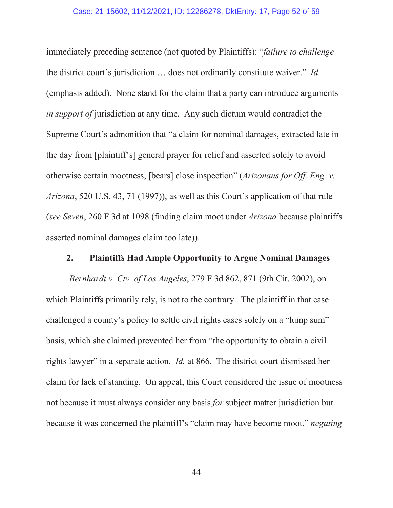### Case: 21-15602, 11/12/2021, ID: 12286278, DktEntry: 17, Page 52 of 59

immediately preceding sentence (not quoted by Plaintiffs): "*failure to challenge*  the district court's jurisdiction … does not ordinarily constitute waiver." *Id.* (emphasis added). None stand for the claim that a party can introduce arguments *in support of* jurisdiction at any time. Any such dictum would contradict the Supreme Court's admonition that "a claim for nominal damages, extracted late in the day from [plaintiff's] general prayer for relief and asserted solely to avoid otherwise certain mootness, [bears] close inspection" (*Arizonans for Off. Eng. v. Arizona*, 520 U.S. 43, 71 (1997)), as well as this Court's application of that rule (*see Seven*, 260 F.3d at 1098 (finding claim moot under *Arizona* because plaintiffs asserted nominal damages claim too late)).

### **2. Plaintiffs Had Ample Opportunity to Argue Nominal Damages**

*Bernhardt v. Cty. of Los Angeles*, 279 F.3d 862, 871 (9th Cir. 2002), on which Plaintiffs primarily rely, is not to the contrary. The plaintiff in that case challenged a county's policy to settle civil rights cases solely on a "lump sum" basis, which she claimed prevented her from "the opportunity to obtain a civil rights lawyer" in a separate action. *Id.* at 866. The district court dismissed her claim for lack of standing. On appeal, this Court considered the issue of mootness not because it must always consider any basis *for* subject matter jurisdiction but because it was concerned the plaintiff's "claim may have become moot," *negating*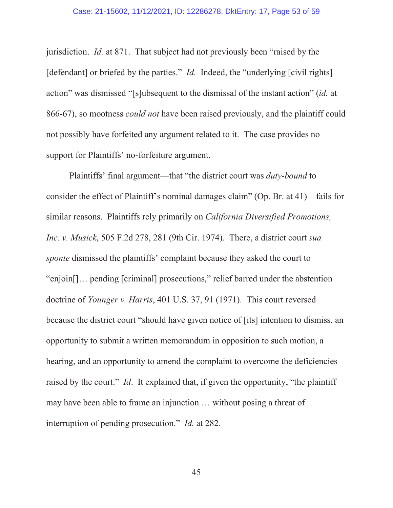### Case: 21-15602, 11/12/2021, ID: 12286278, DktEntry: 17, Page 53 of 59

jurisdiction. *Id.* at 871. That subject had not previously been "raised by the [defendant] or briefed by the parties." *Id.* Indeed, the "underlying [civil rights] action" was dismissed "[s]ubsequent to the dismissal of the instant action" (*id.* at 866-67), so mootness *could not* have been raised previously, and the plaintiff could not possibly have forfeited any argument related to it. The case provides no support for Plaintiffs' no-forfeiture argument.

Plaintiffs' final argument—that "the district court was *duty-bound* to consider the effect of Plaintiff's nominal damages claim" (Op. Br. at 41)—fails for similar reasons. Plaintiffs rely primarily on *California Diversified Promotions, Inc. v. Musick*, 505 F.2d 278, 281 (9th Cir. 1974). There, a district court *sua sponte* dismissed the plaintiffs' complaint because they asked the court to "enjoin[]… pending [criminal] prosecutions," relief barred under the abstention doctrine of *Younger v. Harris*, 401 U.S. 37, 91 (1971). This court reversed because the district court "should have given notice of [its] intention to dismiss, an opportunity to submit a written memorandum in opposition to such motion, a hearing, and an opportunity to amend the complaint to overcome the deficiencies raised by the court." *Id*. It explained that, if given the opportunity, "the plaintiff may have been able to frame an injunction … without posing a threat of interruption of pending prosecution." *Id.* at 282.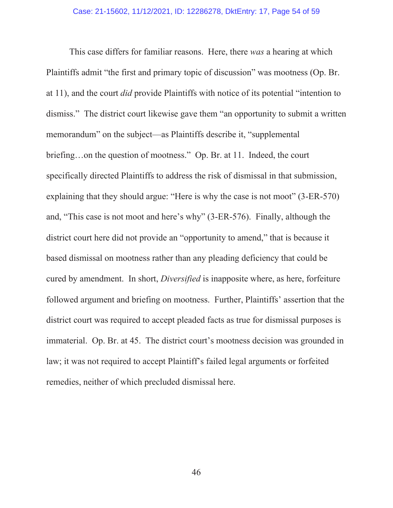This case differs for familiar reasons. Here, there *was* a hearing at which Plaintiffs admit "the first and primary topic of discussion" was mootness (Op. Br. at 11), and the court *did* provide Plaintiffs with notice of its potential "intention to dismiss." The district court likewise gave them "an opportunity to submit a written memorandum" on the subject—as Plaintiffs describe it, "supplemental briefing…on the question of mootness." Op. Br. at 11. Indeed, the court specifically directed Plaintiffs to address the risk of dismissal in that submission, explaining that they should argue: "Here is why the case is not moot" (3-ER-570) and, "This case is not moot and here's why" (3-ER-576). Finally, although the district court here did not provide an "opportunity to amend," that is because it based dismissal on mootness rather than any pleading deficiency that could be cured by amendment. In short, *Diversified* is inapposite where, as here, forfeiture followed argument and briefing on mootness. Further, Plaintiffs' assertion that the district court was required to accept pleaded facts as true for dismissal purposes is immaterial. Op. Br. at 45. The district court's mootness decision was grounded in law; it was not required to accept Plaintiff's failed legal arguments or forfeited remedies, neither of which precluded dismissal here.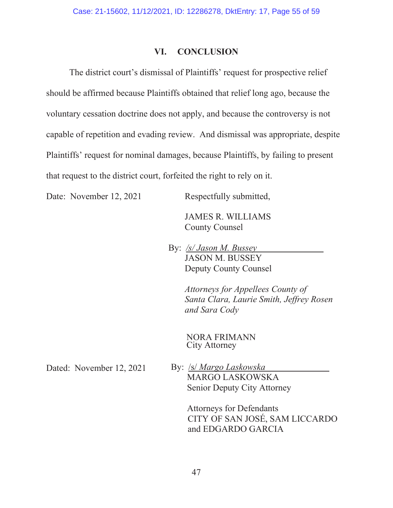### **VI. CONCLUSION**

The district court's dismissal of Plaintiffs' request for prospective relief should be affirmed because Plaintiffs obtained that relief long ago, because the voluntary cessation doctrine does not apply, and because the controversy is not capable of repetition and evading review. And dismissal was appropriate, despite Plaintiffs' request for nominal damages, because Plaintiffs, by failing to present that request to the district court, forfeited the right to rely on it.

Date: November 12, 2021 Respectfully submitted,

 JAMES R. WILLIAMS County Counsel

 By: */s/ Jason M. Bussey*  JASON M. BUSSEY Deputy County Counsel

> *Attorneys for Appellees County of Santa Clara, Laurie Smith, Jeffrey Rosen and Sara Cody*

 NORA FRIMANN City Attorney

Dated: November 12, 2021

By: /s/ *Margo Laskowska* MARGO LASKOWSKA Senior Deputy City Attorney

> Attorneys for Defendants CITY OF SAN JOSÉ, SAM LICCARDO and EDGARDO GARCIA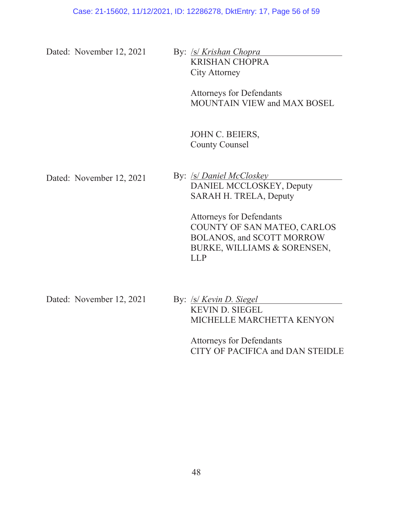Dated: November 12, 2021 By: */s/ Krishan Chopra* 

KRISHAN CHOPRA City Attorney

> Attorneys for Defendants MOUNTAIN VIEW and MAX BOSEL

JOHN C. BEIERS, County Counsel

Dated: November 12, 2021 By: /s/ *Daniel McCloskey* DANIEL MCCLOSKEY, Deputy SARAH H. TRELA, Deputy

> Attorneys for Defendants COUNTY OF SAN MATEO, CARLOS BOLANOS, and SCOTT MORROW BURKE, WILLIAMS & SORENSEN, LLP

Dated: November 12, 2021

By: /s/ *Kevin D. Siegel* KEVIN D. SIEGEL MICHELLE MARCHETTA KENYON

> Attorneys for Defendants CITY OF PACIFICA and DAN STEIDLE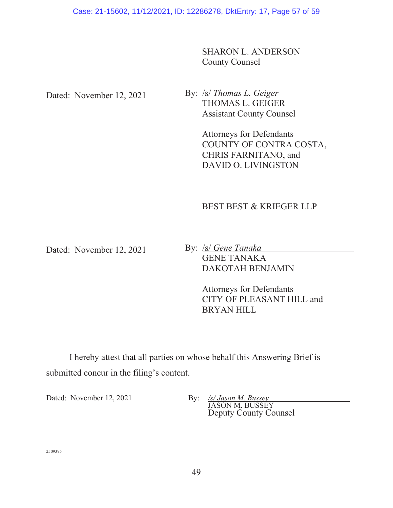SHARON L. ANDERSON County Counsel

Dated: November 12, 2021

By: /s/ *Thomas L. Geiger* THOMAS L. GEIGER Assistant County Counsel

> Attorneys for Defendants COUNTY OF CONTRA COSTA, CHRIS FARNITANO, and DAVID O. LIVINGSTON

# BEST BEST & KRIEGER LLP

Dated: November 12, 2021

By: /s/ *Gene Tanaka* GENE TANAKA DAKOTAH BENJAMIN

> Attorneys for Defendants CITY OF PLEASANT HILL and BRYAN HILL

 I hereby attest that all parties on whose behalf this Answering Brief is submitted concur in the filing's content.

Dated: November 12, 2021 By: */s/ Jason M. Bussey* 

JASON M. BUSSEY Deputy County Counsel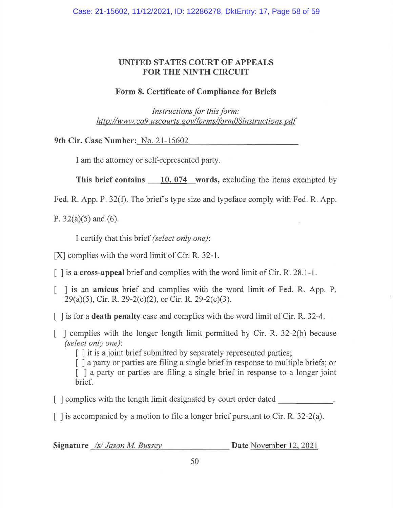# UNITED STATES COURT OF APPEALS **FOR THE NINTH CIRCUIT**

# Form 8. Certificate of Compliance for Briefs

Instructions for this form: http://www.ca9.uscourts.gov/forms/form08instructions.pdf

9th Cir. Case Number: No. 21-15602

I am the attorney or self-represented party.

This brief contains  $\qquad 10,074$  words, excluding the items exempted by

Fed. R. App. P. 32(f). The brief's type size and typeface comply with Fed. R. App.

P.  $32(a)(5)$  and (6).

I certify that this brief (select only one):

[X] complies with the word limit of Cir. R. 32-1.

 $\lceil$  1 is a cross-appeal brief and complies with the word limit of Cir. R. 28.1-1.

- I is an amicus brief and complies with the word limit of Fed. R. App. P. L  $29(a)(5)$ , Cir. R. 29-2(c)(2), or Cir. R. 29-2(c)(3).
- $\lceil$  1 is for a **death penalty** case and complies with the word limit of Cir. R. 32-4.
- $\lceil$  complies with the longer length limit permitted by Cir. R. 32-2(b) because (select only one):

[] it is a joint brief submitted by separately represented parties;

[] a party or parties are filing a single brief in response to multiple briefs; or [ ] a party or parties are filing a single brief in response to a longer joint brief.

- [] complies with the length limit designated by court order dated
- $\lceil$  1 is accompanied by a motion to file a longer brief pursuant to Cir. R. 32-2(a).

Signature /s/ Jason M. Bussey

Date November 12, 2021